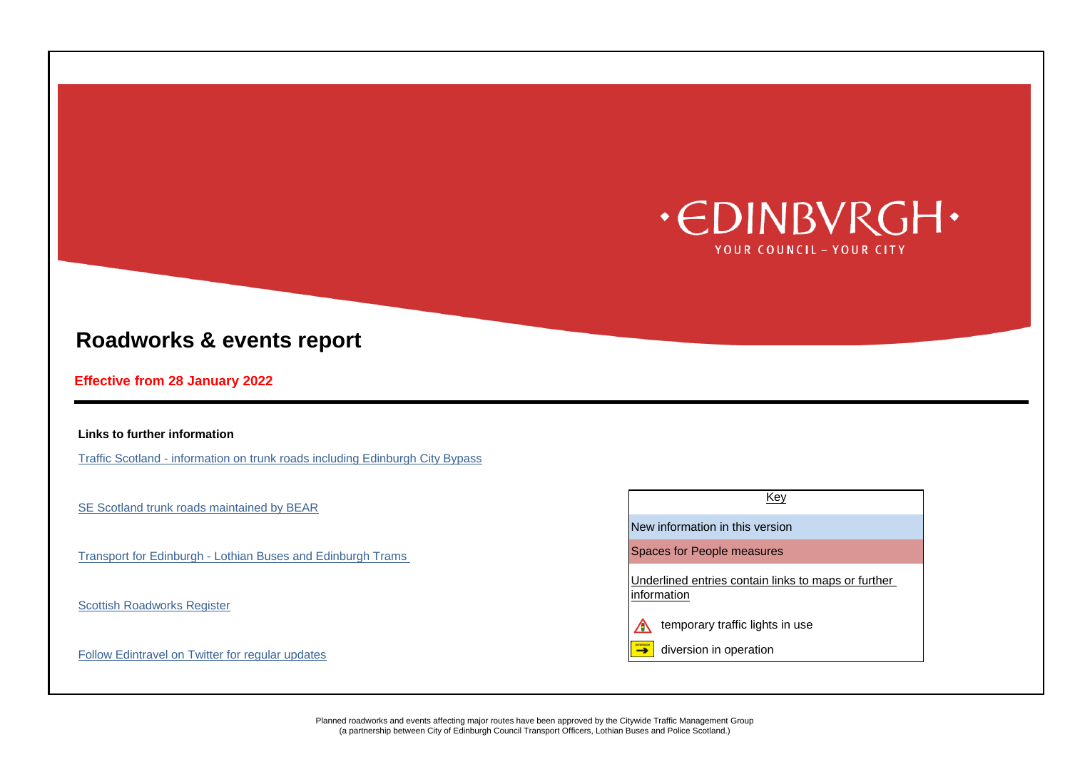### **Links to further information**

[Traffic Scotland - information on trunk roads including Edinburgh City Bypass](http://www.trafficscotland.org/index.aspx)

[SE Scotland trunk roads maintained by BEAR](http://www.bearscot.com/se/)

[Transport for Edinburgh - Lothian Buses and Edinburgh Trams](http://www.transportforedinburgh.com/) Spaces for People measures

[Scottish Roadworks Register](https://www.roadworksscotland.org/)

[Follow Edintravel on Twitter for regular updates](https://twitter.com/edintravel) and the state of the state of the state of the state of the state of the state of the state of the state of the state of the state of the state of the state of the state of





# **Roadworks & events report**

# **Effective from 28 January 2022**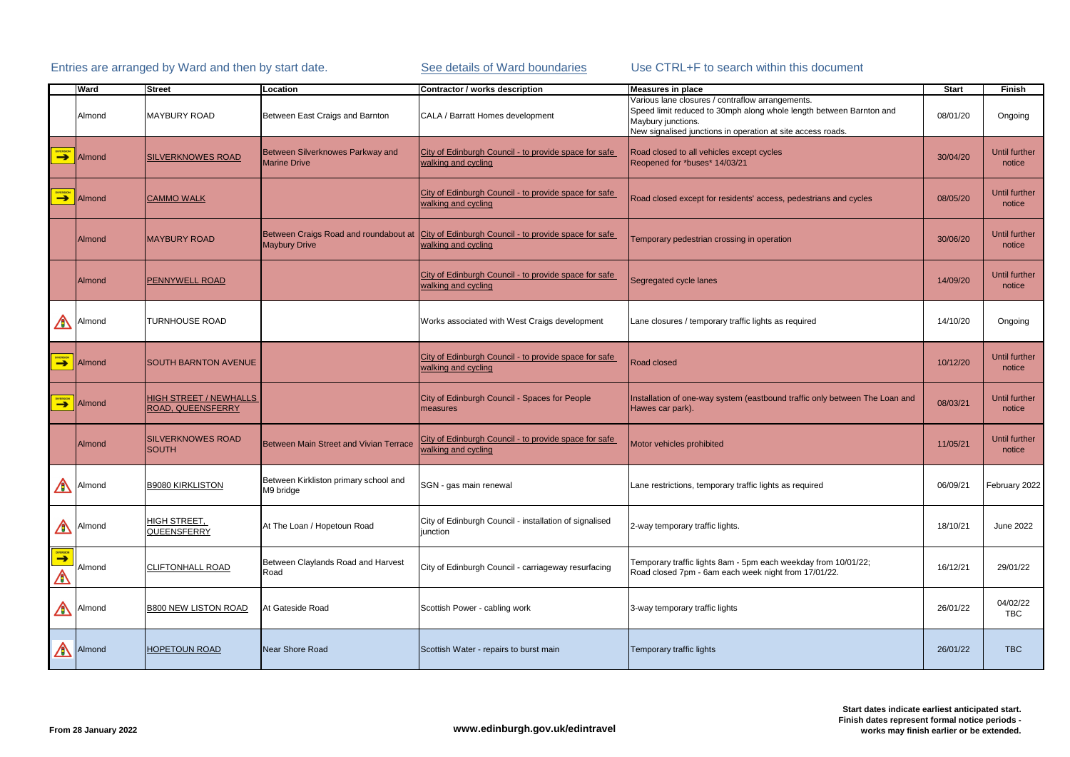|                       | <b>Ward</b>             | Street                                             | Location                                                | Contractor / works description                                                                                     | <b>Measures in place</b>                                                                                                                                                                                     | <b>Start</b> | <b>Finish</b>                  |
|-----------------------|-------------------------|----------------------------------------------------|---------------------------------------------------------|--------------------------------------------------------------------------------------------------------------------|--------------------------------------------------------------------------------------------------------------------------------------------------------------------------------------------------------------|--------------|--------------------------------|
|                       | Almond                  | <b>MAYBURY ROAD</b>                                | Between East Craigs and Barnton                         | CALA / Barratt Homes development                                                                                   | Various lane closures / contraflow arrangements.<br>Speed limit reduced to 30mph along whole length between Barnton and<br>Maybury junctions.<br>New signalised junctions in operation at site access roads. | 08/01/20     | Ongoing                        |
| <b>DIVERSION</b>      | <b>Almond</b>           | <b>SILVERKNOWES ROAD</b>                           | Between Silverknowes Parkway and<br><b>Marine Drive</b> | City of Edinburgh Council - to provide space for safe<br>walking and cycling                                       | Road closed to all vehicles except cycles<br>Reopened for *buses* 14/03/21                                                                                                                                   | 30/04/20     | <b>Until further</b><br>notice |
| <b>DIVERSION</b>      | Almond                  | <b>CAMMO WALK</b>                                  |                                                         | City of Edinburgh Council - to provide space for safe<br>walking and cycling                                       | Road closed except for residents' access, pedestrians and cycles                                                                                                                                             | 08/05/20     | <b>Until further</b><br>notice |
|                       | Almond                  | <b>MAYBURY ROAD</b>                                | <b>Maybury Drive</b>                                    | Between Craigs Road and roundabout at City of Edinburgh Council - to provide space for safe<br>walking and cycling | Temporary pedestrian crossing in operation                                                                                                                                                                   | 30/06/20     | <b>Until further</b><br>notice |
|                       | Almond                  | <b>PENNYWELL ROAD</b>                              |                                                         | City of Edinburgh Council - to provide space for safe<br>walking and cycling                                       | Segregated cycle lanes                                                                                                                                                                                       | 14/09/20     | <b>Until further</b><br>notice |
| A                     | Almond                  | <b>TURNHOUSE ROAD</b>                              |                                                         | Works associated with West Craigs development                                                                      | Lane closures / temporary traffic lights as required                                                                                                                                                         | 14/10/20     | Ongoing                        |
|                       | <b>DIVERSION</b> Almond | <b>SOUTH BARNTON AVENUE</b>                        |                                                         | City of Edinburgh Council - to provide space for safe<br>walking and cycling                                       | <b>Road closed</b>                                                                                                                                                                                           | 10/12/20     | <b>Until further</b><br>notice |
| <b>DIVERSION</b>      | Almond                  | <b>HIGH STREET / NEWHALLS</b><br>ROAD, QUEENSFERRY |                                                         | City of Edinburgh Council - Spaces for People<br>measures                                                          | Installation of one-way system (eastbound traffic only between The Loan and<br>Hawes car park).                                                                                                              | 08/03/21     | <b>Until further</b><br>notice |
|                       | Almond                  | <b>SILVERKNOWES ROAD</b><br><b>SOUTH</b>           | Between Main Street and Vivian Terrace                  | City of Edinburgh Council - to provide space for safe<br>walking and cycling                                       | Motor vehicles prohibited                                                                                                                                                                                    | 11/05/21     | <b>Until further</b><br>notice |
|                       | Almond                  | <b>B9080 KIRKLISTON</b>                            | Between Kirkliston primary school and<br>M9 bridge      | SGN - gas main renewal                                                                                             | Lane restrictions, temporary traffic lights as required                                                                                                                                                      | 06/09/21     | February 2022                  |
|                       | Almond                  | <b>HIGH STREET,</b><br><b>QUEENSFERRY</b>          | At The Loan / Hopetoun Road                             | City of Edinburgh Council - installation of signalised<br>junction                                                 | 2-way temporary traffic lights.                                                                                                                                                                              | 18/10/21     | June 2022                      |
| <b>DIVERSION</b><br>A | Almond                  | <b>CLIFTONHALL ROAD</b>                            | Between Claylands Road and Harvest<br>Road              | City of Edinburgh Council - carriageway resurfacing                                                                | Temporary traffic lights 8am - 5pm each weekday from 10/01/22;<br>Road closed 7pm - 6am each week night from 17/01/22.                                                                                       | 16/12/21     | 29/01/22                       |
|                       | Almond                  | <b>B800 NEW LISTON ROAD</b>                        | At Gateside Road                                        | Scottish Power - cabling work                                                                                      | 3-way temporary traffic lights                                                                                                                                                                               | 26/01/22     | 04/02/22<br>TBC                |
| $\bigwedge$           | Almond                  | <b>HOPETOUN ROAD</b>                               | Near Shore Road                                         | Scottish Water - repairs to burst main                                                                             | Temporary traffic lights                                                                                                                                                                                     | 26/01/22     | <b>TBC</b>                     |

|                                            | <b>Start</b> | <b>Finish</b>                  |
|--------------------------------------------|--------------|--------------------------------|
| ś.<br>th between Barnton and<br>ess roads. | 08/01/20     | Ongoing                        |
|                                            | 30/04/20     | <b>Until further</b><br>notice |
| strians and cycles                         | 08/05/20     | <b>Until further</b><br>notice |
|                                            | 30/06/20     | <b>Until further</b><br>notice |
|                                            | 14/09/20     | <b>Until further</b><br>notice |
| эd                                         | 14/10/20     | Ongoing                        |
|                                            | 10/12/20     | <b>Until further</b><br>notice |
| only between The Loan and                  | 08/03/21     | <b>Until further</b><br>notice |
|                                            | 11/05/21     | <b>Until further</b><br>notice |
| ired                                       | 06/09/21     | February 2022                  |
|                                            | 18/10/21     | June 2022                      |
| ay from 10/01/22;<br>7/01/22.              | 16/12/21     | 29/01/22                       |
|                                            | 26/01/22     | 04/02/22<br><b>TBC</b>         |
|                                            | 26/01/22     | <b>TBC</b>                     |

# Entries are arranged by Ward and then by start date.

[See details of Ward boundaries](https://apps.esriuk.com/app/MyNearest/21/view/1d73980e83cf43ee98d17c2acecb2e2c/index.html) Use CTRL+F to search within this document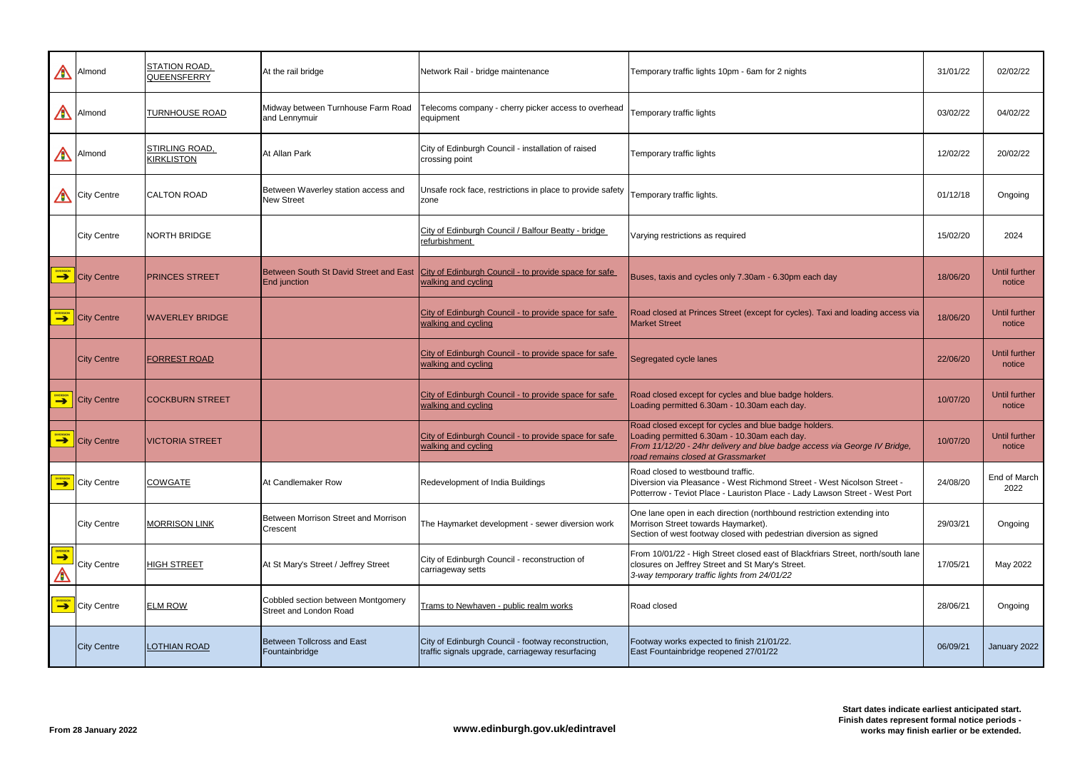| $\bigwedge$           | Almond             | STATION ROAD,<br><b>QUEENSFERRY</b> | At the rail bridge                                            | Network Rail - bridge maintenance                                                                       | Temporary traffic lights 10pm - 6am for 2 nights                                                                                                                                                                         | 31/01/22 | 02/02/22                       |
|-----------------------|--------------------|-------------------------------------|---------------------------------------------------------------|---------------------------------------------------------------------------------------------------------|--------------------------------------------------------------------------------------------------------------------------------------------------------------------------------------------------------------------------|----------|--------------------------------|
| $\bigwedge$           | Almond             | <b>TURNHOUSE ROAD</b>               | Midway between Turnhouse Farm Road<br>and Lennymuir           | Telecoms company - cherry picker access to overhead<br>equipment                                        | Temporary traffic lights                                                                                                                                                                                                 | 03/02/22 | 04/02/22                       |
| A                     | Almond             | STIRLING ROAD,<br><b>KIRKLISTON</b> | At Allan Park                                                 | City of Edinburgh Council - installation of raised<br>crossing point                                    | Temporary traffic lights                                                                                                                                                                                                 | 12/02/22 | 20/02/22                       |
| $\bigwedge$           | <b>City Centre</b> | <b>CALTON ROAD</b>                  | Between Waverley station access and<br><b>New Street</b>      | Unsafe rock face, restrictions in place to provide safety<br>zone                                       | Temporary traffic lights.                                                                                                                                                                                                | 01/12/18 | Ongoing                        |
|                       | <b>City Centre</b> | <b>NORTH BRIDGE</b>                 |                                                               | City of Edinburgh Council / Balfour Beatty - bridge<br>refurbishment                                    | Varying restrictions as required                                                                                                                                                                                         | 15/02/20 | 2024                           |
| <b>DIVERSION</b>      | <b>City Centre</b> | <b>PRINCES STREET</b>               | Between South St David Street and East<br><b>End</b> junction | City of Edinburgh Council - to provide space for safe<br>walking and cycling                            | Buses, taxis and cycles only 7.30am - 6.30pm each day                                                                                                                                                                    | 18/06/20 | <b>Until further</b><br>notice |
| DIVERSION             | <b>City Centre</b> | <b>WAVERLEY BRIDGE</b>              |                                                               | City of Edinburgh Council - to provide space for safe<br>walking and cycling                            | Road closed at Princes Street (except for cycles). Taxi and loading access via<br><b>Market Street</b>                                                                                                                   | 18/06/20 | <b>Until further</b><br>notice |
|                       | <b>City Centre</b> | <b>FORREST ROAD</b>                 |                                                               | City of Edinburgh Council - to provide space for safe<br>walking and cycling                            | Segregated cycle lanes                                                                                                                                                                                                   | 22/06/20 | Until further<br>notice        |
|                       | <b>City Centre</b> | <b>COCKBURN STREET</b>              |                                                               | City of Edinburgh Council - to provide space for safe<br>walking and cycling                            | Road closed except for cycles and blue badge holders.<br>Loading permitted 6.30am - 10.30am each day.                                                                                                                    | 10/07/20 | <b>Until further</b><br>notice |
| <b>DIVERSION</b>      | <b>City Centre</b> | <b>VICTORIA STREET</b>              |                                                               | City of Edinburgh Council - to provide space for safe<br>walking and cycling                            | Road closed except for cycles and blue badge holders.<br>Loading permitted 6.30am - 10.30am each day.<br>From 11/12/20 - 24hr delivery and blue badge access via George IV Bridge,<br>road remains closed at Grassmarket | 10/07/20 | Until further<br>notice        |
|                       | <b>City Centre</b> | <b>COWGATE</b>                      | At Candlemaker Row                                            | Redevelopment of India Buildings                                                                        | Road closed to westbound traffic.<br>Diversion via Pleasance - West Richmond Street - West Nicolson Street -<br>Potterrow - Teviot Place - Lauriston Place - Lady Lawson Street - West Port                              | 24/08/20 | End of March<br>2022           |
|                       | <b>City Centre</b> | <b>MORRISON LINK</b>                | Between Morrison Street and Morrison<br>Crescent              | The Haymarket development - sewer diversion work                                                        | One lane open in each direction (northbound restriction extending into<br>Morrison Street towards Haymarket).<br>Section of west footway closed with pedestrian diversion as signed                                      | 29/03/21 | Ongoing                        |
| <b>DIVERSION</b><br>A | <b>City Centre</b> | <b>HIGH STREET</b>                  | At St Mary's Street / Jeffrey Street                          | City of Edinburgh Council - reconstruction of<br>carriageway setts                                      | From 10/01/22 - High Street closed east of Blackfriars Street, north/south lane<br>closures on Jeffrey Street and St Mary's Street.<br>3-way temporary traffic lights from 24/01/22                                      | 17/05/21 | May 2022                       |
| DIVERSION             | <b>City Centre</b> | <b>ELM ROW</b>                      | Cobbled section between Montgomery<br>Street and London Road  | Trams to Newhaven - public realm works                                                                  | Road closed                                                                                                                                                                                                              | 28/06/21 | Ongoing                        |
|                       | <b>City Centre</b> | <b>LOTHIAN ROAD</b>                 | <b>Between Tollcross and East</b><br>Fountainbridge           | City of Edinburgh Council - footway reconstruction,<br>traffic signals upgrade, carriageway resurfacing | Footway works expected to finish 21/01/22.<br>East Fountainbridge reopened 27/01/22                                                                                                                                      | 06/09/21 | January 2022                   |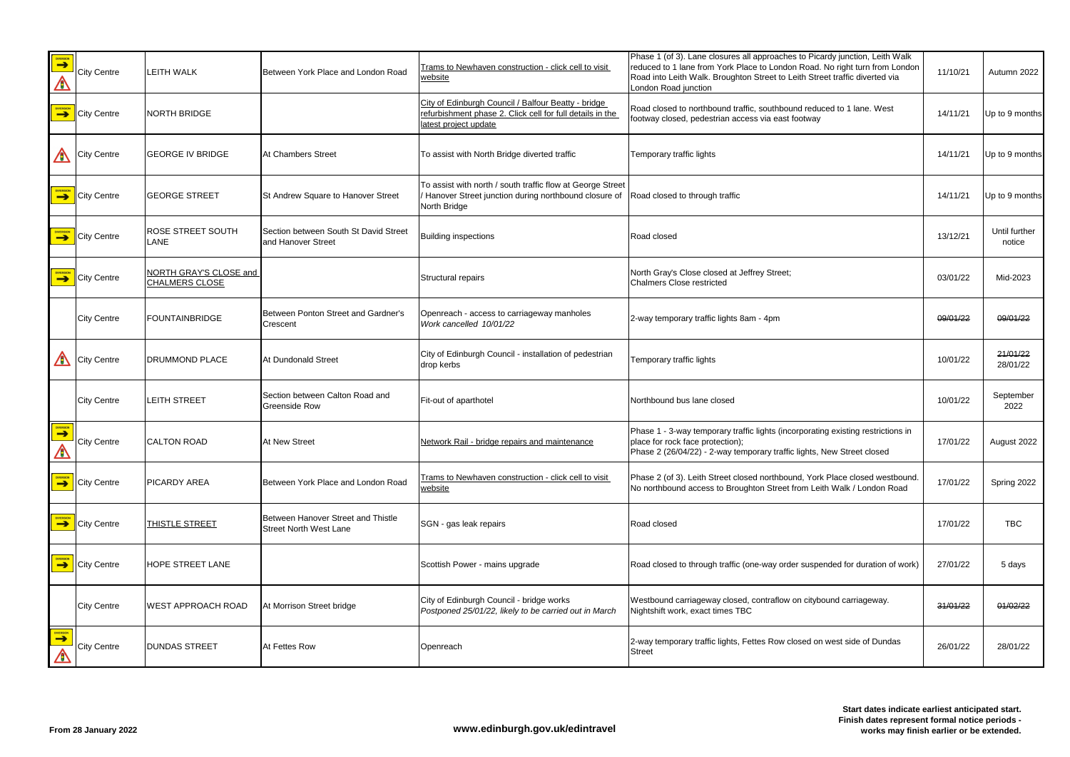| DIVERSION<br>A          | <b>City Centre</b>                      | <b>LEITH WALK</b>                               | Between York Place and London Road                                  | Trams to Newhaven construction - click cell to visit<br>website                                                                           | Phase 1 (of 3). Lane closures all approaches to Picardy junction, Leith Walk<br>reduced to 1 lane from York Place to London Road. No right turn from London<br>Road into Leith Walk. Broughton Street to Leith Street traffic diverted via<br>London Road junction | 11/10/21 | Autumn 2022             |
|-------------------------|-----------------------------------------|-------------------------------------------------|---------------------------------------------------------------------|-------------------------------------------------------------------------------------------------------------------------------------------|--------------------------------------------------------------------------------------------------------------------------------------------------------------------------------------------------------------------------------------------------------------------|----------|-------------------------|
|                         | $\left\  \bigcirc \right\ $ City Centre | NORTH BRIDGE                                    |                                                                     | City of Edinburgh Council / Balfour Beatty - bridge<br>refurbishment phase 2. Click cell for full details in the<br>latest project update | Road closed to northbound traffic, southbound reduced to 1 lane. West<br>footway closed, pedestrian access via east footway                                                                                                                                        | 14/11/21 | Up to 9 months          |
| $\bigwedge$             | <b>City Centre</b>                      | <b>GEORGE IV BRIDGE</b>                         | At Chambers Street                                                  | To assist with North Bridge diverted traffic                                                                                              | Temporary traffic lights                                                                                                                                                                                                                                           | 14/11/21 | Up to 9 months          |
| <b>DIVERSION</b>        | City Centre                             | <b>GEORGE STREET</b>                            | St Andrew Square to Hanover Street                                  | To assist with north / south traffic flow at George Street<br>/ Hanover Street junction during northbound closure of<br>North Bridge      | Road closed to through traffic                                                                                                                                                                                                                                     | 14/11/21 | Up to 9 months          |
|                         | <b>City Centre</b>                      | <b>ROSE STREET SOUTH</b><br>LANE                | Section between South St David Street<br>and Hanover Street         | <b>Building inspections</b>                                                                                                               | Road closed                                                                                                                                                                                                                                                        | 13/12/21 | Until further<br>notice |
| <b>DIVERSION</b>        | City Centre                             | NORTH GRAY'S CLOSE and<br><b>CHALMERS CLOSE</b> |                                                                     | Structural repairs                                                                                                                        | North Gray's Close closed at Jeffrey Street;<br><b>Chalmers Close restricted</b>                                                                                                                                                                                   | 03/01/22 | Mid-2023                |
|                         | <b>City Centre</b>                      | FOUNTAINBRIDGE                                  | Between Ponton Street and Gardner's<br>Crescent                     | Openreach - access to carriageway manholes<br>Work cancelled 10/01/22                                                                     | 2-way temporary traffic lights 8am - 4pm                                                                                                                                                                                                                           | 09/01/22 | 09/01/22                |
| $\bigwedge$             | <b>City Centre</b>                      | <b>DRUMMOND PLACE</b>                           | At Dundonald Street                                                 | City of Edinburgh Council - installation of pedestrian<br>drop kerbs                                                                      | Temporary traffic lights                                                                                                                                                                                                                                           | 10/01/22 | 21/01/22<br>28/01/22    |
|                         | <b>City Centre</b>                      | <b>LEITH STREET</b>                             | Section between Calton Road and<br><b>Greenside Row</b>             | Fit-out of aparthotel                                                                                                                     | Northbound bus lane closed                                                                                                                                                                                                                                         | 10/01/22 | September<br>2022       |
| DIVERSION<br><u>797</u> | <b>City Centre</b>                      | <b>CALTON ROAD</b>                              | At New Street                                                       | Network Rail - bridge repairs and maintenance                                                                                             | Phase 1 - 3-way temporary traffic lights (incorporating existing restrictions in<br>place for rock face protection);<br>Phase 2 (26/04/22) - 2-way temporary traffic lights, New Street closed                                                                     | 17/01/22 | August 2022             |
|                         | <b>City Centre</b>                      | <b>PICARDY AREA</b>                             | Between York Place and London Road                                  | Trams to Newhaven construction - click cell to visit<br>website                                                                           | Phase 2 (of 3). Leith Street closed northbound, York Place closed westbound.<br>No northbound access to Broughton Street from Leith Walk / London Road                                                                                                             | 17/01/22 | Spring 2022             |
|                         | $\left\  \bigcirc \right\ $ City Centre | <b>THISTLE STREET</b>                           | Between Hanover Street and Thistle<br><b>Street North West Lane</b> | SGN - gas leak repairs                                                                                                                    | Road closed                                                                                                                                                                                                                                                        | 17/01/22 | <b>TBC</b>              |
|                         | <b>City Centre</b>                      | <b>HOPE STREET LANE</b>                         |                                                                     | Scottish Power - mains upgrade                                                                                                            | Road closed to through traffic (one-way order suspended for duration of work)                                                                                                                                                                                      | 27/01/22 | 5 days                  |
|                         | <b>City Centre</b>                      | <b>WEST APPROACH ROAD</b>                       | At Morrison Street bridge                                           | City of Edinburgh Council - bridge works<br>Postponed 25/01/22, likely to be carried out in March                                         | Westbound carriageway closed, contraflow on citybound carriageway.<br>Nightshift work, exact times TBC                                                                                                                                                             | 31/01/22 | 01/02/22                |
| <b>DIVERSION</b>        | <b>City Centre</b>                      | <b>DUNDAS STREET</b>                            | At Fettes Row                                                       | Openreach                                                                                                                                 | 2-way temporary traffic lights, Fettes Row closed on west side of Dundas<br><b>Street</b>                                                                                                                                                                          | 26/01/22 | 28/01/22                |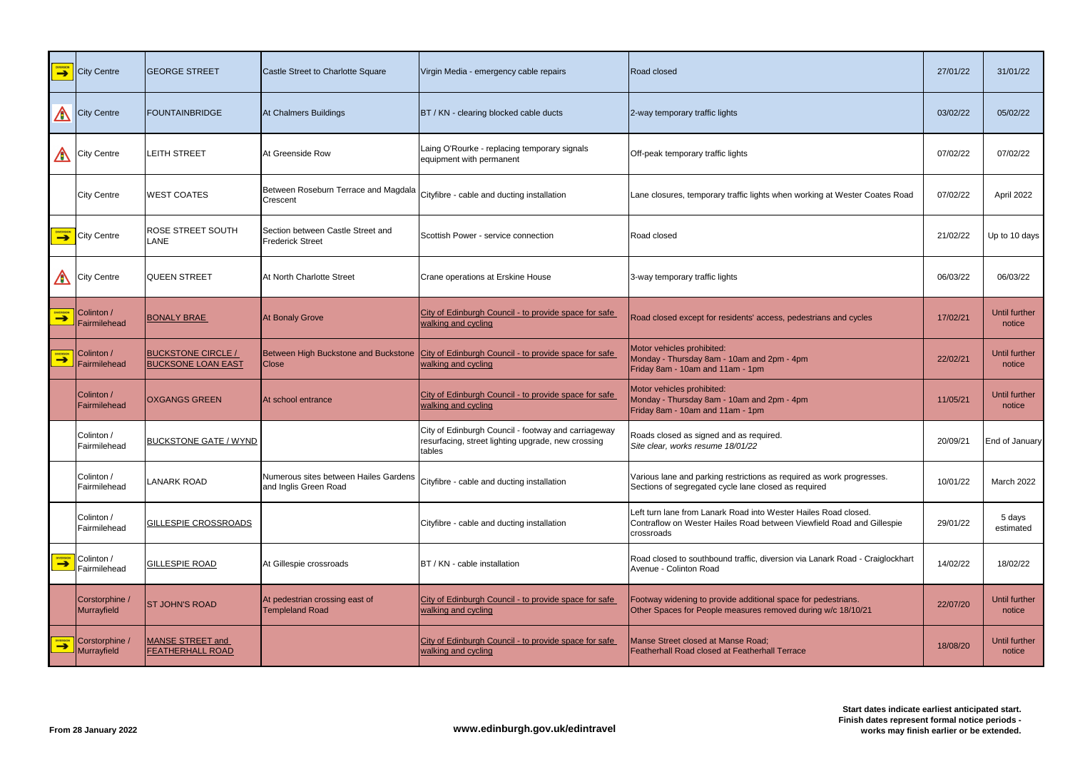|                                  | <b>City Centre</b>            | <b>GEORGE STREET</b>                                   | Castle Street to Charlotte Square                              | Virgin Media - emergency cable repairs                                                                              | Road closed                                                                                                                                            | 27/01/22 | 31/01/22                |
|----------------------------------|-------------------------------|--------------------------------------------------------|----------------------------------------------------------------|---------------------------------------------------------------------------------------------------------------------|--------------------------------------------------------------------------------------------------------------------------------------------------------|----------|-------------------------|
| A                                | <b>City Centre</b>            | <b>FOUNTAINBRIDGE</b>                                  | At Chalmers Buildings                                          | BT / KN - clearing blocked cable ducts                                                                              | 2-way temporary traffic lights                                                                                                                         | 03/02/22 | 05/02/22                |
| A                                | <b>City Centre</b>            | <b>LEITH STREET</b>                                    | At Greenside Row                                               | Laing O'Rourke - replacing temporary signals<br>equipment with permanent                                            | Off-peak temporary traffic lights                                                                                                                      | 07/02/22 | 07/02/22                |
|                                  | <b>City Centre</b>            | <b>WEST COATES</b>                                     | Between Roseburn Terrace and Magdala<br>Crescent               | Cityfibre - cable and ducting installation                                                                          | Lane closures, temporary traffic lights when working at Wester Coates Road                                                                             | 07/02/22 | April 2022              |
| <b>DIVERSION</b>                 | <b>City Centre</b>            | <b>ROSE STREET SOUTH</b><br><b>LANE</b>                | Section between Castle Street and<br><b>Frederick Street</b>   | Scottish Power - service connection                                                                                 | Road closed                                                                                                                                            | 21/02/22 | Up to 10 days           |
| A                                | <b>City Centre</b>            | <b>QUEEN STREET</b>                                    | At North Charlotte Street                                      | Crane operations at Erskine House                                                                                   | 3-way temporary traffic lights                                                                                                                         | 06/03/22 | 06/03/22                |
| <b>DIVERSION</b>                 | Colinton /<br>Fairmilehead    | <b>BONALY BRAE</b>                                     | At Bonaly Grove                                                | City of Edinburgh Council - to provide space for safe<br>walking and cycling                                        | Road closed except for residents' access, pedestrians and cycles                                                                                       | 17/02/21 | Until further<br>notice |
| <b>DIVERSION</b>                 | Colinton /<br>Fairmilehead    | <b>BUCKSTONE CIRCLE /</b><br><b>BUCKSONE LOAN EAST</b> | <b>Close</b>                                                   | Between High Buckstone and Buckstone City of Edinburgh Council - to provide space for safe<br>walking and cycling   | Motor vehicles prohibited:<br>Monday - Thursday 8am - 10am and 2pm - 4pm<br>Friday 8am - 10am and 11am - 1pm                                           | 22/02/21 | Until further<br>notice |
|                                  | Colinton /<br>Fairmilehead    | <b>OXGANGS GREEN</b>                                   | At school entrance                                             | City of Edinburgh Council - to provide space for safe<br>walking and cycling                                        | Motor vehicles prohibited:<br>Monday - Thursday 8am - 10am and 2pm - 4pm<br>Friday 8am - 10am and 11am - 1pm                                           | 11/05/21 | Until further<br>notice |
|                                  | Colinton /<br>Fairmilehead    | <b>BUCKSTONE GATE / WYND</b>                           |                                                                | City of Edinburgh Council - footway and carriageway<br>resurfacing, street lighting upgrade, new crossing<br>tables | Roads closed as signed and as required.<br>Site clear, works resume 18/01/22                                                                           | 20/09/21 | End of January          |
|                                  | Colinton /<br>Fairmilehead    | <b>LANARK ROAD</b>                                     | Numerous sites between Hailes Gardens<br>and Inglis Green Road | Cityfibre - cable and ducting installation                                                                          | Various lane and parking restrictions as required as work progresses.<br>Sections of segregated cycle lane closed as required                          | 10/01/22 | March 2022              |
|                                  | Colinton /<br>Fairmilehead    | <b>GILLESPIE CROSSROADS</b>                            |                                                                | Cityfibre - cable and ducting installation                                                                          | Left turn lane from Lanark Road into Wester Hailes Road closed.<br>Contraflow on Wester Hailes Road between Viewfield Road and Gillespie<br>crossroads | 29/01/22 | 5 days<br>estimated     |
| <b>IVERSION</b><br>$\rightarrow$ | Colinton /<br>Fairmilehead    | <b>GILLESPIE ROAD</b>                                  | At Gillespie crossroads                                        | BT / KN - cable installation                                                                                        | Road closed to southbound traffic, diversion via Lanark Road - Craiglockhart<br>Avenue - Colinton Road                                                 | 14/02/22 | 18/02/22                |
|                                  | Corstorphine /<br>Murrayfield | <b>ST JOHN'S ROAD</b>                                  | At pedestrian crossing east of<br><b>Templeland Road</b>       | City of Edinburgh Council - to provide space for safe<br>walking and cycling                                        | Footway widening to provide additional space for pedestrians.<br>Other Spaces for People measures removed during w/c 18/10/21                          | 22/07/20 | Until further<br>notice |
| <b>EXPERSION</b>                 | Corstorphine /<br>Murrayfield | <b>MANSE STREET and</b><br><b>FEATHERHALL ROAD</b>     |                                                                | City of Edinburgh Council - to provide space for safe<br>walking and cycling                                        | Manse Street closed at Manse Road;<br>Featherhall Road closed at Featherhall Terrace                                                                   | 18/08/20 | Until further<br>notice |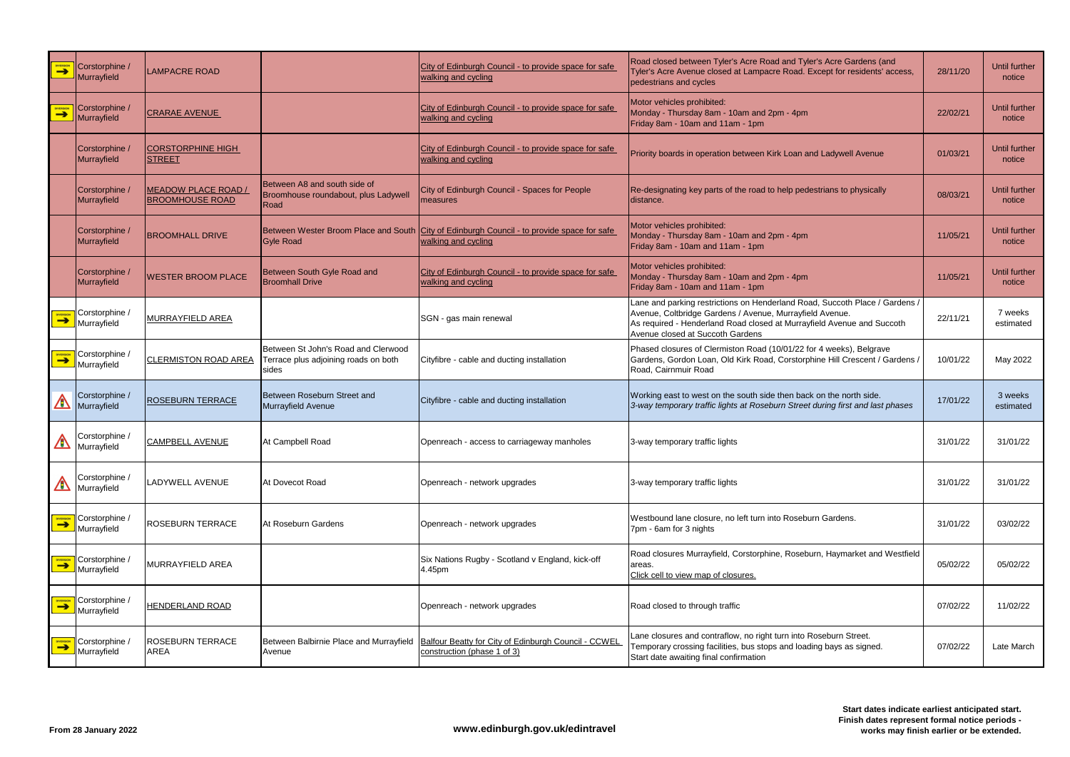| <b>DIVERSION</b> | Corstorphine /<br>Murrayfield                   | <b>LAMPACRE ROAD</b>                                 |                                                                                      | City of Edinburgh Council - to provide space for safe<br>walking and cycling                                      | Road closed between Tyler's Acre Road and Tyler's Acre Gardens (and<br>Tyler's Acre Avenue closed at Lampacre Road. Except for residents' access,<br>pedestrians and cycles                                                                           | 28/11/20 | Until further<br>notice        |
|------------------|-------------------------------------------------|------------------------------------------------------|--------------------------------------------------------------------------------------|-------------------------------------------------------------------------------------------------------------------|-------------------------------------------------------------------------------------------------------------------------------------------------------------------------------------------------------------------------------------------------------|----------|--------------------------------|
| <b>DIVERSION</b> | Corstorphine /<br>Murrayfield                   | <b>CRARAE AVENUE</b>                                 |                                                                                      | City of Edinburgh Council - to provide space for safe<br>walking and cycling                                      | Motor vehicles prohibited:<br>Monday - Thursday 8am - 10am and 2pm - 4pm<br>Friday 8am - 10am and 11am - 1pm                                                                                                                                          | 22/02/21 | Until further<br>notice        |
|                  | Corstorphine /<br>Murrayfield                   | <b>CORSTORPHINE HIGH</b><br><b>STREET</b>            |                                                                                      | City of Edinburgh Council - to provide space for safe<br>walking and cycling                                      | Priority boards in operation between Kirk Loan and Ladywell Avenue                                                                                                                                                                                    | 01/03/21 | <b>Until further</b><br>notice |
|                  | Corstorphine /<br>Murrayfield                   | <b>MEADOW PLACE ROAD /</b><br><b>BROOMHOUSE ROAD</b> | Between A8 and south side of<br>Broomhouse roundabout, plus Ladywell<br>Road         | City of Edinburgh Council - Spaces for People<br>measures                                                         | Re-designating key parts of the road to help pedestrians to physically<br>distance.                                                                                                                                                                   | 08/03/21 | Until further<br>notice        |
|                  | Corstorphine /<br>Murrayfield                   | <b>BROOMHALL DRIVE</b>                               | <b>Gyle Road</b>                                                                     | Between Wester Broom Place and South City of Edinburgh Council - to provide space for safe<br>walking and cycling | Motor vehicles prohibited:<br>Monday - Thursday 8am - 10am and 2pm - 4pm<br>Friday 8am - 10am and 11am - 1pm                                                                                                                                          | 11/05/21 | Until further<br>notice        |
|                  | Corstorphine /<br>Murrayfield                   | <b>WESTER BROOM PLACE</b>                            | Between South Gyle Road and<br><b>Broomhall Drive</b>                                | City of Edinburgh Council - to provide space for safe<br>walking and cycling                                      | Motor vehicles prohibited:<br>Monday - Thursday 8am - 10am and 2pm - 4pm<br>Friday 8am - 10am and 11am - 1pm                                                                                                                                          | 11/05/21 | Until further<br>notice        |
|                  | Corstorphine /<br>$\rightarrow$ Murrayfield     | <b>MURRAYFIELD AREA</b>                              |                                                                                      | SGN - gas main renewal                                                                                            | Lane and parking restrictions on Henderland Road, Succoth Place / Gardens /<br>Avenue, Coltbridge Gardens / Avenue, Murrayfield Avenue.<br>As required - Henderland Road closed at Murrayfield Avenue and Succoth<br>Avenue closed at Succoth Gardens | 22/11/21 | 7 weeks<br>estimated           |
|                  | $\sum_{\text{N}}$ Corstorphine /<br>Murrayfield | <b>CLERMISTON ROAD AREA</b>                          | Between St John's Road and Clerwood<br>Terrace plus adjoining roads on both<br>sides | Cityfibre - cable and ducting installation                                                                        | Phased closures of Clermiston Road (10/01/22 for 4 weeks), Belgrave<br>Gardens, Gordon Loan, Old Kirk Road, Corstorphine Hill Crescent / Gardens.<br>Road, Cairnmuir Road                                                                             | 10/01/22 | May 2022                       |
| A                | Corstorphine /<br>Murrayfield                   | <b>ROSEBURN TERRACE</b>                              | Between Roseburn Street and<br>Murrayfield Avenue                                    | Cityfibre - cable and ducting installation                                                                        | Working east to west on the south side then back on the north side.<br>3-way temporary traffic lights at Roseburn Street during first and last phases                                                                                                 | 17/01/22 | 3 weeks<br>estimated           |
| A                | / Corstorphine<br>Murrayfield                   | <b>CAMPBELL AVENUE</b>                               | At Campbell Road                                                                     | Openreach - access to carriageway manholes                                                                        | 3-way temporary traffic lights                                                                                                                                                                                                                        | 31/01/22 | 31/01/22                       |
| ⚠                | Corstorphine /<br>Murrayfield                   | <b>LADYWELL AVENUE</b>                               | At Dovecot Road                                                                      | Openreach - network upgrades                                                                                      | 3-way temporary traffic lights                                                                                                                                                                                                                        | 31/01/22 | 31/01/22                       |
|                  | <b>ENTERISION</b> Corstorphine /                | <b>ROSEBURN TERRACE</b>                              | At Roseburn Gardens                                                                  | Openreach - network upgrades                                                                                      | Westbound lane closure, no left turn into Roseburn Gardens.<br>7pm - 6am for 3 nights                                                                                                                                                                 | 31/01/22 | 03/02/22                       |
|                  | <b>ENTERNOW</b> Corstorphine /                  | <b>MURRAYFIELD AREA</b>                              |                                                                                      | Six Nations Rugby - Scotland v England, kick-off<br>4.45pm                                                        | Road closures Murrayfield, Corstorphine, Roseburn, Haymarket and Westfield<br>areas.<br>Click cell to view map of closures.                                                                                                                           | 05/02/22 | 05/02/22                       |
|                  | <b>ENTERNOW</b> Corstorphine /                  | <b>HENDERLAND ROAD</b>                               |                                                                                      | Openreach - network upgrades                                                                                      | Road closed to through traffic                                                                                                                                                                                                                        | 07/02/22 | 11/02/22                       |
| <b>DIVERSION</b> | Corstorphine /<br>Murrayfield                   | <b>ROSEBURN TERRACE</b><br><b>AREA</b>               | Between Balbirnie Place and Murrayfield<br>Avenue                                    | Balfour Beatty for City of Edinburgh Council - CCWEL<br>construction (phase 1 of 3)                               | Lane closures and contraflow, no right turn into Roseburn Street.<br>Temporary crossing facilities, bus stops and loading bays as signed.<br>Start date awaiting final confirmation                                                                   | 07/02/22 | Late March                     |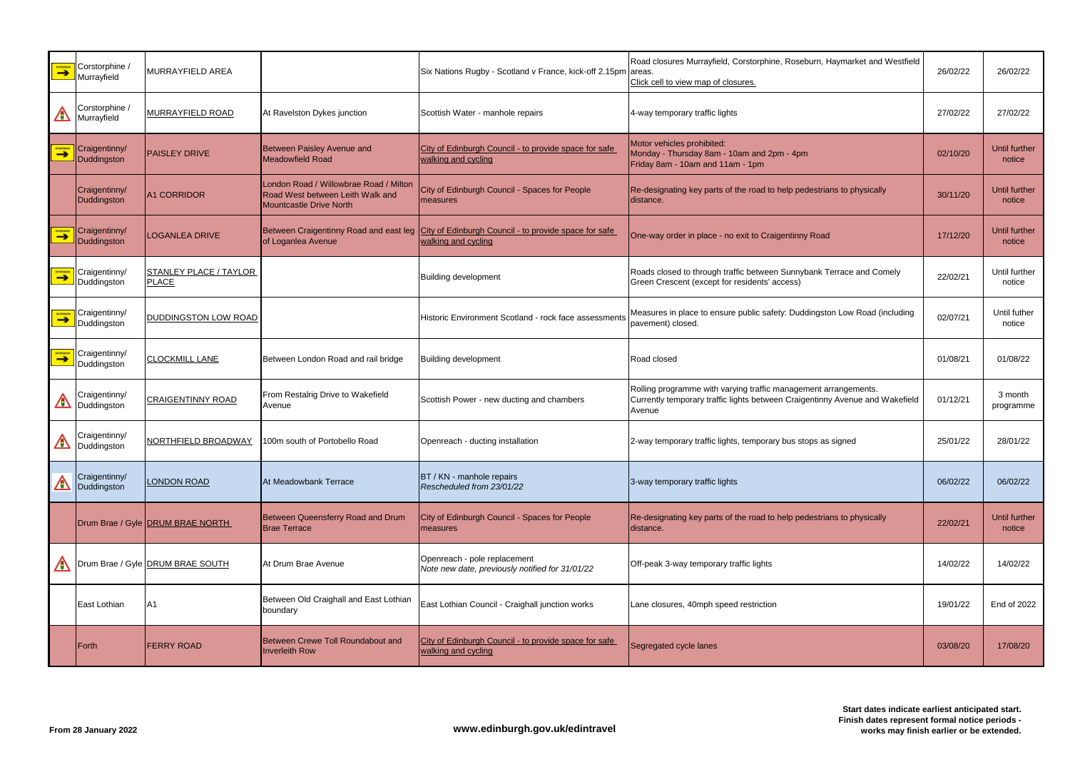| <b>DIVERSION</b> | Corstorphine /<br>Murrayfield | MURRAYFIELD AREA                              |                                                                                                              | Six Nations Rugby - Scotland v France, kick-off 2.15pm areas.                                                       | Road closures Murrayfield, Corstorphine, Roseburn, Haymarket and Westfield<br>Click cell to view map of closures.                                         | 26/02/22 | 26/02/22                       |
|------------------|-------------------------------|-----------------------------------------------|--------------------------------------------------------------------------------------------------------------|---------------------------------------------------------------------------------------------------------------------|-----------------------------------------------------------------------------------------------------------------------------------------------------------|----------|--------------------------------|
| ⚠                | Corstorphine /<br>Murrayfield | <b>MURRAYFIELD ROAD</b>                       | At Ravelston Dykes junction                                                                                  | Scottish Water - manhole repairs                                                                                    | 4-way temporary traffic lights                                                                                                                            | 27/02/22 | 27/02/22                       |
| <b>DIVERSION</b> | Craigentinny/<br>Duddingston  | <b>PAISLEY DRIVE</b>                          | Between Paisley Avenue and<br><b>Meadowfield Road</b>                                                        | City of Edinburgh Council - to provide space for safe<br>walking and cycling                                        | Motor vehicles prohibited:<br>Monday - Thursday 8am - 10am and 2pm - 4pm<br>Friday 8am - 10am and 11am - 1pm                                              | 02/10/20 | <b>Until further</b><br>notice |
|                  | Craigentinny/<br>Duddingston  | <b>A1 CORRIDOR</b>                            | London Road / Willowbrae Road / Milton<br>Road West between Leith Walk and<br><b>Mountcastle Drive North</b> | City of Edinburgh Council - Spaces for People<br>measures                                                           | Re-designating key parts of the road to help pedestrians to physically<br>distance.                                                                       | 30/11/20 | Until further<br>notice        |
| <b>DIVERSION</b> | Craigentinny/<br>Duddingston  | <b>LOGANLEA DRIVE</b>                         | of Loganlea Avenue                                                                                           | Between Craigentinny Road and east leg City of Edinburgh Council - to provide space for safe<br>walking and cycling | One-way order in place - no exit to Craigentinny Road                                                                                                     | 17/12/20 | Until further<br>notice        |
| $\rightarrow$    | Craigentinny/<br>Duddingston  | <b>STANLEY PLACE / TAYLOR</b><br><b>PLACE</b> |                                                                                                              | <b>Building development</b>                                                                                         | Roads closed to through traffic between Sunnybank Terrace and Comely<br>Green Crescent (except for residents' access)                                     | 22/02/21 | Until further<br>notice        |
| <b>DIVERSION</b> | Craigentinny/<br>Duddingston  | <b>DUDDINGSTON LOW ROAD</b>                   |                                                                                                              | Historic Environment Scotland - rock face assessments                                                               | Measures in place to ensure public safety: Duddingston Low Road (including<br>pavement) closed.                                                           | 02/07/21 | Until futher<br>notice         |
| <b>DIVERSION</b> | Craigentinny/<br>Duddingston  | <b>CLOCKMILL LANE</b>                         | Between London Road and rail bridge                                                                          | <b>Building development</b>                                                                                         | Road closed                                                                                                                                               | 01/08/21 | 01/08/22                       |
| A                | Craigentinny/<br>Duddingston  | <b>CRAIGENTINNY ROAD</b>                      | From Restalrig Drive to Wakefield<br>Avenue                                                                  | Scottish Power - new ducting and chambers                                                                           | Rolling programme with varying traffic management arrangements.<br>Currently temporary traffic lights between Craigentinny Avenue and Wakefield<br>Avenue | 01/12/21 | 3 month<br>programme           |
| A                | Craigentinny/<br>Duddingston  | NORTHFIELD BROADWAY                           | 100m south of Portobello Road                                                                                | Openreach - ducting installation                                                                                    | 2-way temporary traffic lights, temporary bus stops as signed                                                                                             | 25/01/22 | 28/01/22                       |
| ⚠                | Craigentinny/<br>Duddingston  | <b>LONDON ROAD</b>                            | At Meadowbank Terrace                                                                                        | BT / KN - manhole repairs<br>Rescheduled from 23/01/22                                                              | 3-way temporary traffic lights                                                                                                                            | 06/02/22 | 06/02/22                       |
|                  |                               | Drum Brae / Gyle DRUM BRAE NORTH              | Between Queensferry Road and Drum<br><b>Brae Terrace</b>                                                     | City of Edinburgh Council - Spaces for People<br>measures                                                           | Re-designating key parts of the road to help pedestrians to physically<br>distance.                                                                       | 22/02/21 | Until further<br>notice        |
| <u>/B</u>        |                               | Drum Brae / Gyle DRUM BRAE SOUTH              | At Drum Brae Avenue                                                                                          | Openreach - pole replacement<br>Note new date, previously notified for 31/01/22                                     | Off-peak 3-way temporary traffic lights                                                                                                                   | 14/02/22 | 14/02/22                       |
|                  | East Lothian                  | A1                                            | Between Old Craighall and East Lothian<br>boundary                                                           | East Lothian Council - Craighall junction works                                                                     | Lane closures, 40mph speed restriction                                                                                                                    | 19/01/22 | End of 2022                    |
|                  | Forth                         | <b>FERRY ROAD</b>                             | Between Crewe Toll Roundabout and<br><b>Inverleith Row</b>                                                   | City of Edinburgh Council - to provide space for safe<br>walking and cycling                                        | Segregated cycle lanes                                                                                                                                    | 03/08/20 | 17/08/20                       |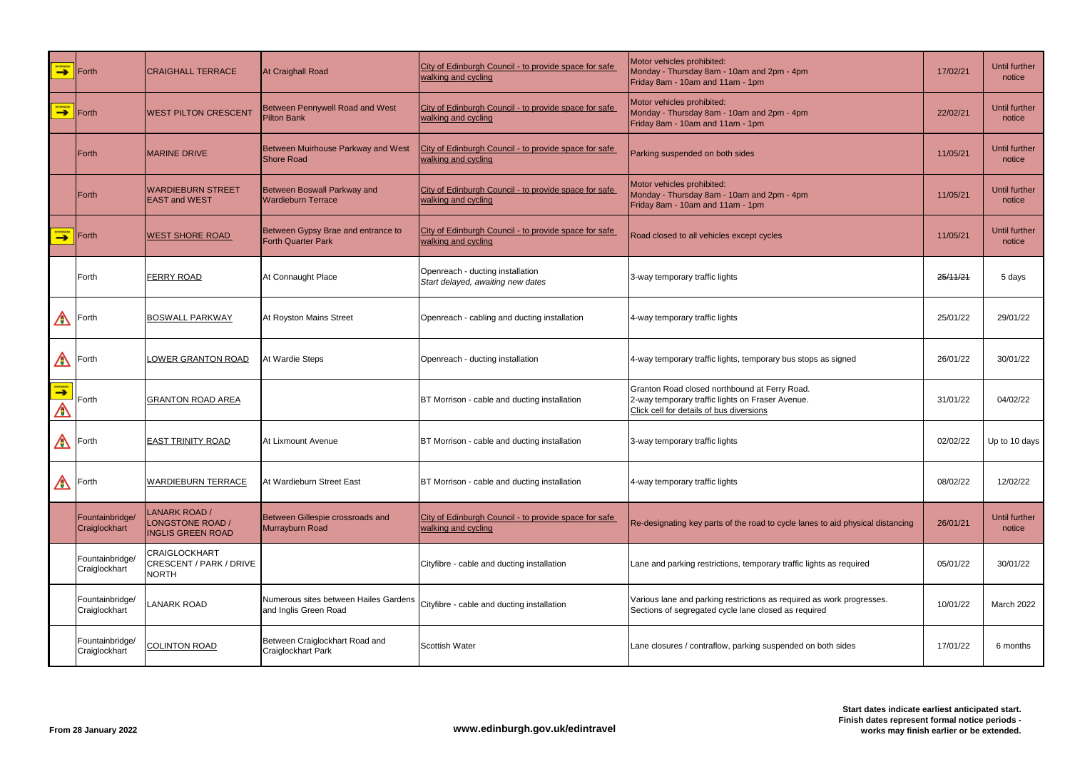| DIVERSION             | <b>IForth</b>                    | <b>CRAIGHALL TERRACE</b>                                             | At Craighall Road                                               | City of Edinburgh Council - to provide space for safe<br>walking and cycling | Motor vehicles prohibited:<br>Monday - Thursday 8am - 10am and 2pm - 4pm<br>Friday 8am - 10am and 11am - 1pm                                  | 17/02/21 | Until further<br>notice        |
|-----------------------|----------------------------------|----------------------------------------------------------------------|-----------------------------------------------------------------|------------------------------------------------------------------------------|-----------------------------------------------------------------------------------------------------------------------------------------------|----------|--------------------------------|
| DIVERSION             | <b>IForth</b>                    | <b>WEST PILTON CRESCENT</b>                                          | <b>Between Pennywell Road and West</b><br><b>Pilton Bank</b>    | City of Edinburgh Council - to provide space for safe<br>walking and cycling | Motor vehicles prohibited:<br>Monday - Thursday 8am - 10am and 2pm - 4pm<br>Friday 8am - 10am and 11am - 1pm                                  | 22/02/21 | Until further<br>notice        |
|                       | <b>Forth</b>                     | <b>IMARINE DRIVE</b>                                                 | Between Muirhouse Parkway and West<br><b>Shore Road</b>         | City of Edinburgh Council - to provide space for safe<br>walking and cycling | Parking suspended on both sides                                                                                                               | 11/05/21 | <b>Until further</b><br>notice |
|                       | Forth                            | <b>WARDIEBURN STREET</b><br><b>EAST and WEST</b>                     | <b>Between Boswall Parkway and</b><br><b>Wardieburn Terrace</b> | City of Edinburgh Council - to provide space for safe<br>walking and cycling | Motor vehicles prohibited:<br>Monday - Thursday 8am - 10am and 2pm - 4pm<br>Friday 8am - 10am and 11am - 1pm                                  | 11/05/21 | Until further<br>notice        |
| <b>DIVERSION</b>      | Forth                            | <b>WEST SHORE ROAD</b>                                               | Between Gypsy Brae and entrance to<br><b>Forth Quarter Park</b> | City of Edinburgh Council - to provide space for safe<br>walking and cycling | Road closed to all vehicles except cycles                                                                                                     | 11/05/21 | Until further<br>notice        |
|                       | Forth                            | FERRY ROAD                                                           | At Connaught Place                                              | Openreach - ducting installation<br>Start delayed, awaiting new dates        | 3-way temporary traffic lights                                                                                                                | 25/11/21 | 5 days                         |
| $\triangle$           | Forth                            | <b>BOSWALL PARKWAY</b>                                               | At Royston Mains Street                                         | Openreach - cabling and ducting installation                                 | 4-way temporary traffic lights                                                                                                                | 25/01/22 | 29/01/22                       |
|                       | Forth                            | <b>LOWER GRANTON ROAD</b>                                            | At Wardie Steps                                                 | Openreach - ducting installation                                             | 4-way temporary traffic lights, temporary bus stops as signed                                                                                 | 26/01/22 | 30/01/22                       |
| <b>DIVERSION</b><br>⚠ | Forth                            | <b>GRANTON ROAD AREA</b>                                             |                                                                 | BT Morrison - cable and ducting installation                                 | Granton Road closed northbound at Ferry Road.<br>2-way temporary traffic lights on Fraser Avenue.<br>Click cell for details of bus diversions | 31/01/22 | 04/02/22                       |
| $\blacktriangle$      | Forth                            | <b>EAST TRINITY ROAD</b>                                             | At Lixmount Avenue                                              | BT Morrison - cable and ducting installation                                 | 3-way temporary traffic lights                                                                                                                | 02/02/22 | Up to 10 days                  |
| $\triangle$           | Forth                            | <b>WARDIEBURN TERRACE</b>                                            | At Wardieburn Street East                                       | BT Morrison - cable and ducting installation                                 | 4-way temporary traffic lights                                                                                                                | 08/02/22 | 12/02/22                       |
|                       | Fountainbridge/<br>Craiglockhart | <b>LANARK ROAD /</b><br>LONGSTONE ROAD /<br><b>INGLIS GREEN ROAD</b> | Between Gillespie crossroads and<br>Murrayburn Road             | City of Edinburgh Council - to provide space for safe<br>walking and cycling | Re-designating key parts of the road to cycle lanes to aid physical distancing                                                                | 26/01/21 | Until further<br>notice        |
|                       | Fountainbridge/<br>Craiglockhart | <b>CRAIGLOCKHART</b><br>CRESCENT / PARK / DRIVE<br><b>NORTH</b>      |                                                                 | Cityfibre - cable and ducting installation                                   | Lane and parking restrictions, temporary traffic lights as required                                                                           | 05/01/22 | 30/01/22                       |
|                       | Fountainbridge/<br>Craiglockhart | <b>LANARK ROAD</b>                                                   | Numerous sites between Hailes Gardens<br>and Inglis Green Road  | Cityfibre - cable and ducting installation                                   | Various lane and parking restrictions as required as work progresses.<br>Sections of segregated cycle lane closed as required                 | 10/01/22 | <b>March 2022</b>              |
|                       | Fountainbridge/<br>Craiglockhart | <b>COLINTON ROAD</b>                                                 | Between Craiglockhart Road and<br><b>Craiglockhart Park</b>     | <b>Scottish Water</b>                                                        | Lane closures / contraflow, parking suspended on both sides                                                                                   | 17/01/22 | 6 months                       |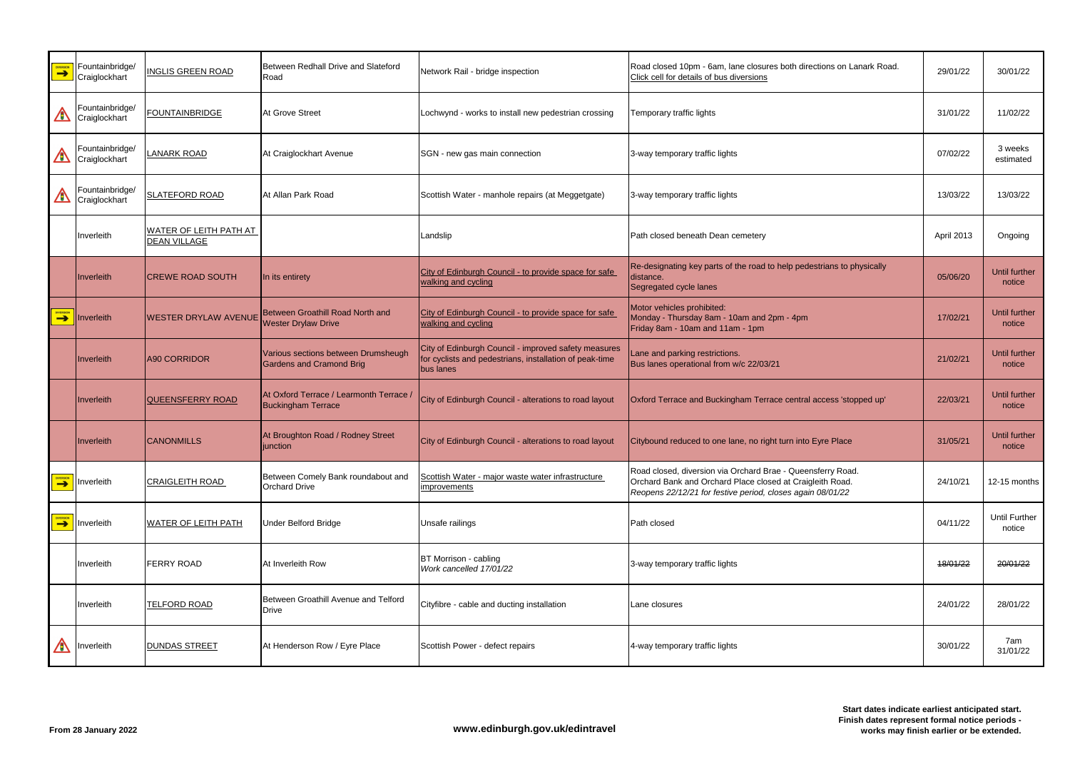| <b>DIVERSION</b> | Fountainbridge/<br>Craiglockhart | <b>INGLIS GREEN ROAD</b>                             | Between Redhall Drive and Slateford<br>Road                            | Network Rail - bridge inspection                                                                                             | Road closed 10pm - 6am, lane closures both directions on Lanark Road.<br>Click cell for details of bus diversions                                                                      | 29/01/22   | 30/01/22                       |
|------------------|----------------------------------|------------------------------------------------------|------------------------------------------------------------------------|------------------------------------------------------------------------------------------------------------------------------|----------------------------------------------------------------------------------------------------------------------------------------------------------------------------------------|------------|--------------------------------|
| ⚠                | Fountainbridge/<br>Craiglockhart | <b>FOUNTAINBRIDGE</b>                                | At Grove Street                                                        | Lochwynd - works to install new pedestrian crossing                                                                          | Temporary traffic lights                                                                                                                                                               | 31/01/22   | 11/02/22                       |
| $\bigwedge$      | Fountainbridge/<br>Craiglockhart | <b>LANARK ROAD</b>                                   | At Craiglockhart Avenue                                                | SGN - new gas main connection                                                                                                | 3-way temporary traffic lights                                                                                                                                                         | 07/02/22   | 3 weeks<br>estimated           |
| A                | Fountainbridge/<br>Craiglockhart | <b>SLATEFORD ROAD</b>                                | At Allan Park Road                                                     | Scottish Water - manhole repairs (at Meggetgate)                                                                             | 3-way temporary traffic lights                                                                                                                                                         | 13/03/22   | 13/03/22                       |
|                  | Inverleith                       | <b>WATER OF LEITH PATH AT</b><br><b>DEAN VILLAGE</b> |                                                                        | Landslip                                                                                                                     | Path closed beneath Dean cemetery                                                                                                                                                      | April 2013 | Ongoing                        |
|                  | Inverleith                       | <b>CREWE ROAD SOUTH</b>                              | In its entirety                                                        | City of Edinburgh Council - to provide space for safe<br>walking and cycling                                                 | Re-designating key parts of the road to help pedestrians to physically<br>distance.<br>Segregated cycle lanes                                                                          | 05/06/20   | Until further<br>notice        |
| <b>DIVERSION</b> | Inverleith                       | <b>WESTER DRYLAW AVENUE</b>                          | Between Groathill Road North and<br><b>Wester Drylaw Drive</b>         | City of Edinburgh Council - to provide space for safe<br>walking and cycling                                                 | Motor vehicles prohibited:<br>Monday - Thursday 8am - 10am and 2pm - 4pm<br>Friday 8am - 10am and 11am - 1pm                                                                           | 17/02/21   | Until further<br>notice        |
|                  | Inverleith                       | A90 CORRIDOR                                         | Various sections between Drumsheugh<br><b>Gardens and Cramond Brig</b> | City of Edinburgh Council - improved safety measures<br>for cyclists and pedestrians, installation of peak-time<br>bus lanes | Lane and parking restrictions.<br>Bus lanes operational from w/c 22/03/21                                                                                                              | 21/02/21   | Until further<br>notice        |
|                  | Inverleith                       | QUEENSFERRY ROAD                                     | At Oxford Terrace / Learmonth Terrace /<br><b>Buckingham Terrace</b>   | City of Edinburgh Council - alterations to road layout                                                                       | Oxford Terrace and Buckingham Terrace central access 'stopped up'                                                                                                                      | 22/03/21   | Until further<br>notice        |
|                  | Inverleith                       | <b>CANONMILLS</b>                                    | At Broughton Road / Rodney Street<br>junction                          | City of Edinburgh Council - alterations to road layout                                                                       | Citybound reduced to one lane, no right turn into Eyre Place                                                                                                                           | 31/05/21   | Until further<br>notice        |
| <b>DIVERSION</b> | Inverleith                       | <b>CRAIGLEITH ROAD</b>                               | Between Comely Bank roundabout and<br><b>Orchard Drive</b>             | Scottish Water - major waste water infrastructure<br><i>improvements</i>                                                     | Road closed, diversion via Orchard Brae - Queensferry Road.<br>Orchard Bank and Orchard Place closed at Craigleith Road.<br>Reopens 22/12/21 for festive period, closes again 08/01/22 | 24/10/21   | 12-15 months                   |
| <b>DIVERSION</b> | Inverleith                       | <b>WATER OF LEITH PATH</b>                           | <b>Under Belford Bridge</b>                                            | Unsafe railings                                                                                                              | Path closed                                                                                                                                                                            | 04/11/22   | <b>Until Further</b><br>notice |
|                  | Inverleith                       | <b>FERRY ROAD</b>                                    | At Inverleith Row                                                      | BT Morrison - cabling<br>Work cancelled 17/01/22                                                                             | 3-way temporary traffic lights                                                                                                                                                         | 18/01/22   | 20/01/22                       |
|                  | Inverleith                       | <b>TELFORD ROAD</b>                                  | Between Groathill Avenue and Telford<br><b>Drive</b>                   | Cityfibre - cable and ducting installation                                                                                   | Lane closures                                                                                                                                                                          | 24/01/22   | 28/01/22                       |
| Â                | Inverleith                       | <b>DUNDAS STREET</b>                                 | At Henderson Row / Eyre Place                                          | Scottish Power - defect repairs                                                                                              | 4-way temporary traffic lights                                                                                                                                                         | 30/01/22   | 7am<br>31/01/22                |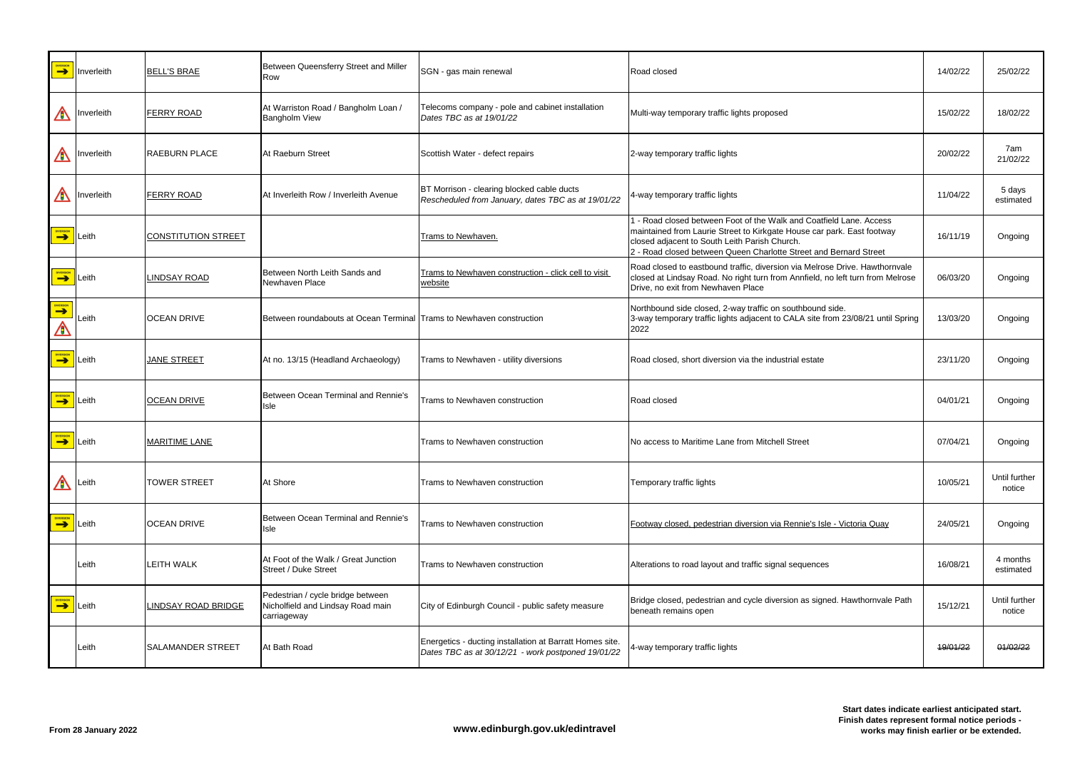| <b>DIVERSION</b>      | Inverleith | <b>BELL'S BRAE</b>         | Between Queensferry Street and Miller<br>Row                                          | SGN - gas main renewal                                                                                         | Road closed                                                                                                                                                                                                                                                         | 14/02/22 | 25/02/22                |
|-----------------------|------------|----------------------------|---------------------------------------------------------------------------------------|----------------------------------------------------------------------------------------------------------------|---------------------------------------------------------------------------------------------------------------------------------------------------------------------------------------------------------------------------------------------------------------------|----------|-------------------------|
| A                     | Inverleith | <b>FERRY ROAD</b>          | At Warriston Road / Bangholm Loan /<br><b>Bangholm View</b>                           | Telecoms company - pole and cabinet installation<br>Dates TBC as at 19/01/22                                   | Multi-way temporary traffic lights proposed                                                                                                                                                                                                                         | 15/02/22 | 18/02/22                |
| A                     | Inverleith | <b>RAEBURN PLACE</b>       | At Raeburn Street                                                                     | Scottish Water - defect repairs                                                                                | 2-way temporary traffic lights                                                                                                                                                                                                                                      | 20/02/22 | 7am<br>21/02/22         |
| A                     | Inverleith | <b>FERRY ROAD</b>          | At Inverleith Row / Inverleith Avenue                                                 | BT Morrison - clearing blocked cable ducts<br>Rescheduled from January, dates TBC as at 19/01/22               | 4-way temporary traffic lights                                                                                                                                                                                                                                      | 11/04/22 | 5 days<br>estimated     |
| <b>DIVERSION</b>      | Leith      | <b>CONSTITUTION STREET</b> |                                                                                       | Trams to Newhaven.                                                                                             | 1 - Road closed between Foot of the Walk and Coatfield Lane. Access<br>maintained from Laurie Street to Kirkgate House car park. East footway<br>closed adjacent to South Leith Parish Church.<br>2 - Road closed between Queen Charlotte Street and Bernard Street | 16/11/19 | Ongoing                 |
| <b>DIVERSION</b>      | Leith      | <b>INDSAY ROAD</b>         | Between North Leith Sands and<br>Newhaven Place                                       | Trams to Newhaven construction - click cell to visit<br>website                                                | Road closed to eastbound traffic, diversion via Melrose Drive. Hawthornvale<br>closed at Lindsay Road. No right turn from Annfield, no left turn from Melrose<br>Drive, no exit from Newhaven Place                                                                 | 06/03/20 | Ongoing                 |
| <b>DIVERSION</b><br>A | Leith      | <b>OCEAN DRIVE</b>         | Between roundabouts at Ocean Terminal Trams to Newhaven construction                  |                                                                                                                | Northbound side closed, 2-way traffic on southbound side.<br>3-way temporary traffic lights adjacent to CALA site from 23/08/21 until Spring<br>2022                                                                                                                | 13/03/20 | Ongoing                 |
| <b>DIVERSION</b>      | Leith      | <b>JANE STREET</b>         | At no. 13/15 (Headland Archaeology)                                                   | Trams to Newhaven - utility diversions                                                                         | Road closed, short diversion via the industrial estate                                                                                                                                                                                                              | 23/11/20 | Ongoing                 |
| <b>DIVERSION</b>      | Leith      | <b>OCEAN DRIVE</b>         | Between Ocean Terminal and Rennie's<br>Isle                                           | Trams to Newhaven construction                                                                                 | Road closed                                                                                                                                                                                                                                                         | 04/01/21 | Ongoing                 |
| <b>DIVERSION</b>      | Leith      | <b>MARITIME LANE</b>       |                                                                                       | Trams to Newhaven construction                                                                                 | No access to Maritime Lane from Mitchell Street                                                                                                                                                                                                                     | 07/04/21 | Ongoing                 |
| $\bigwedge$           | Leith      | <b>TOWER STREET</b>        | At Shore                                                                              | Trams to Newhaven construction                                                                                 | Temporary traffic lights                                                                                                                                                                                                                                            | 10/05/21 | Until further<br>notice |
| <b>DIVERSION</b>      | Leith      | <b>OCEAN DRIVE</b>         | Between Ocean Terminal and Rennie's<br>Isle                                           | Trams to Newhaven construction                                                                                 | Footway closed, pedestrian diversion via Rennie's Isle - Victoria Quay                                                                                                                                                                                              | 24/05/21 | Ongoing                 |
|                       | Leith      | <b>LEITH WALK</b>          | At Foot of the Walk / Great Junction<br>Street / Duke Street                          | Trams to Newhaven construction                                                                                 | Alterations to road layout and traffic signal sequences                                                                                                                                                                                                             | 16/08/21 | 4 months<br>estimated   |
| <b>DIVERSION</b>      | Leith      | <b>INDSAY ROAD BRIDGE</b>  | Pedestrian / cycle bridge between<br>Nicholfield and Lindsay Road main<br>carriageway | City of Edinburgh Council - public safety measure                                                              | Bridge closed, pedestrian and cycle diversion as signed. Hawthornvale Path<br>beneath remains open                                                                                                                                                                  | 15/12/21 | Until further<br>notice |
|                       | Leith      | <b>SALAMANDER STREET</b>   | At Bath Road                                                                          | Energetics - ducting installation at Barratt Homes site.<br>Dates TBC as at 30/12/21 - work postponed 19/01/22 | 4-way temporary traffic lights                                                                                                                                                                                                                                      | 19/01/22 | 01/02/22                |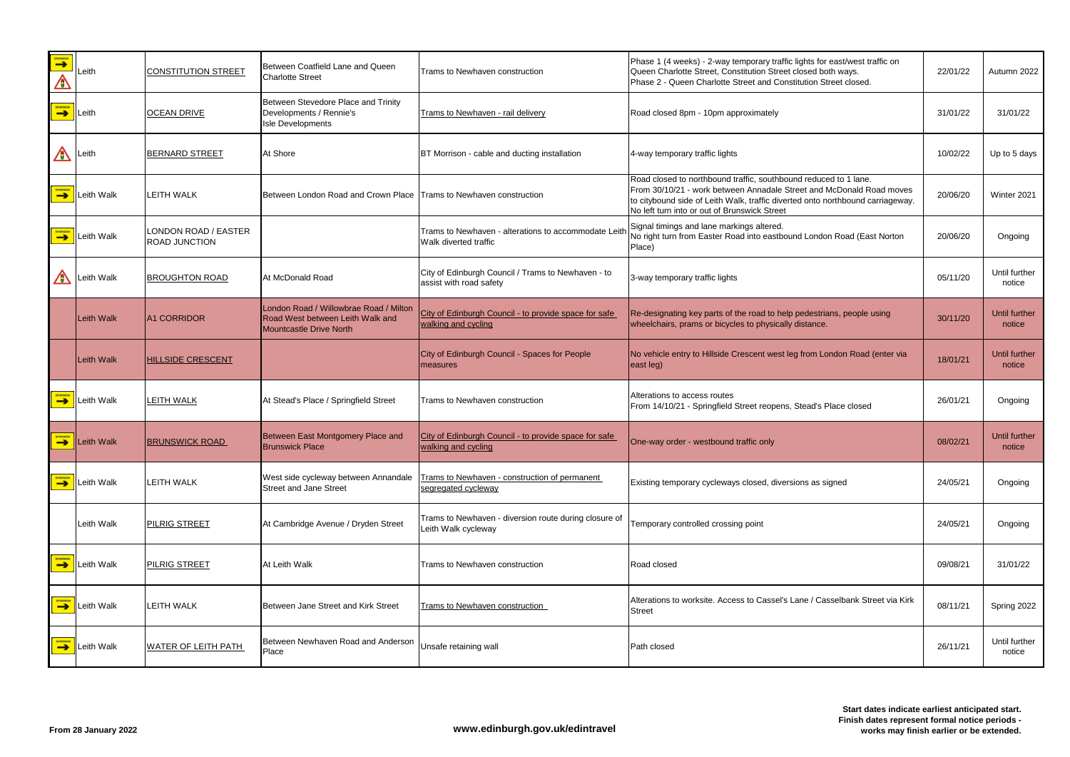| <b>DIVERSION</b><br><u>/a</u> | Leith      | <b>CONSTITUTION STREET</b>            | Between Coatfield Lane and Queen<br><b>Charlotte Street</b>                                                  | Trams to Newhaven construction                                                | Phase 1 (4 weeks) - 2-way temporary traffic lights for east/west traffic on<br>Queen Charlotte Street, Constitution Street closed both ways.<br>Phase 2 - Queen Charlotte Street and Constitution Street closed.                                                           | 22/01/22 | Autumn 2022             |
|-------------------------------|------------|---------------------------------------|--------------------------------------------------------------------------------------------------------------|-------------------------------------------------------------------------------|----------------------------------------------------------------------------------------------------------------------------------------------------------------------------------------------------------------------------------------------------------------------------|----------|-------------------------|
| DIVERSION                     | Leith      | <b>OCEAN DRIVE</b>                    | Between Stevedore Place and Trinity<br>Developments / Rennie's<br>Isle Developments                          | Trams to Newhaven - rail delivery                                             | Road closed 8pm - 10pm approximately                                                                                                                                                                                                                                       | 31/01/22 | 31/01/22                |
| A                             | Leith      | <b>BERNARD STREET</b>                 | At Shore                                                                                                     | BT Morrison - cable and ducting installation                                  | 4-way temporary traffic lights                                                                                                                                                                                                                                             | 10/02/22 | Up to 5 days            |
| <b>DIVERSION</b>              | Leith Walk | <b>LEITH WALK</b>                     | Between London Road and Crown Place Trams to Newhaven construction                                           |                                                                               | Road closed to northbound traffic, southbound reduced to 1 lane.<br>From 30/10/21 - work between Annadale Street and McDonald Road moves<br>to citybound side of Leith Walk, traffic diverted onto northbound carriageway.<br>No left turn into or out of Brunswick Street | 20/06/20 | Winter 2021             |
| <b>DIVERSION</b>              | Leith Walk | LONDON ROAD / EASTER<br>ROAD JUNCTION |                                                                                                              | Trams to Newhaven - alterations to accommodate Leith<br>Walk diverted traffic | Signal timings and lane markings altered.<br>No right turn from Easter Road into eastbound London Road (East Norton<br>Place)                                                                                                                                              | 20/06/20 | Ongoing                 |
| A                             | Leith Walk | <b>BROUGHTON ROAD</b>                 | At McDonald Road                                                                                             | City of Edinburgh Council / Trams to Newhaven - to<br>assist with road safety | 3-way temporary traffic lights                                                                                                                                                                                                                                             | 05/11/20 | Until further<br>notice |
|                               | Leith Walk | <b>A1 CORRIDOR</b>                    | London Road / Willowbrae Road / Milton<br>Road West between Leith Walk and<br><b>Mountcastle Drive North</b> | City of Edinburgh Council - to provide space for safe<br>walking and cycling  | Re-designating key parts of the road to help pedestrians, people using<br>wheelchairs, prams or bicycles to physically distance.                                                                                                                                           | 30/11/20 | Until further<br>notice |
|                               | Leith Walk | <b>HILLSIDE CRESCENT</b>              |                                                                                                              | City of Edinburgh Council - Spaces for People<br>measures                     | No vehicle entry to Hillside Crescent west leg from London Road (enter via<br>east leg)                                                                                                                                                                                    | 18/01/21 | Until further<br>notice |
| <b>DIVERSION</b>              | Leith Walk | <b>LEITH WALK</b>                     | At Stead's Place / Springfield Street                                                                        | Trams to Newhaven construction                                                | Alterations to access routes<br>From 14/10/21 - Springfield Street reopens, Stead's Place closed                                                                                                                                                                           | 26/01/21 | Ongoing                 |
| DIVERSION                     | Leith Walk | <b>BRUNSWICK ROAD</b>                 | Between East Montgomery Place and<br><b>Brunswick Place</b>                                                  | City of Edinburgh Council - to provide space for safe<br>walking and cycling  | One-way order - westbound traffic only                                                                                                                                                                                                                                     | 08/02/21 | Until further<br>notice |
| <b>DIVERSION</b>              | Leith Walk | <b>LEITH WALK</b>                     | West side cycleway between Annandale<br><b>Street and Jane Street</b>                                        | Trams to Newhaven - construction of permanent<br>segregated cycleway          | Existing temporary cycleways closed, diversions as signed                                                                                                                                                                                                                  | 24/05/21 | Ongoing                 |
|                               | Leith Walk | PILRIG STREET                         | At Cambridge Avenue / Dryden Street                                                                          | Trams to Newhaven - diversion route during closure of<br>Leith Walk cycleway  | Temporary controlled crossing point                                                                                                                                                                                                                                        | 24/05/21 | Ongoing                 |
| DIVERSION                     | Leith Walk | <b>PILRIG STREET</b>                  | At Leith Walk                                                                                                | Trams to Newhaven construction                                                | Road closed                                                                                                                                                                                                                                                                | 09/08/21 | 31/01/22                |
| <b>DIVERSION</b>              | Leith Walk | <b>LEITH WALK</b>                     | Between Jane Street and Kirk Street                                                                          | <b>Trams to Newhaven construction</b>                                         | Alterations to worksite. Access to Cassel's Lane / Casselbank Street via Kirk<br>Street                                                                                                                                                                                    | 08/11/21 | Spring 2022             |
| DIVERSION                     | Leith Walk | <b>WATER OF LEITH PATH</b>            | Between Newhaven Road and Anderson<br>Place                                                                  | Unsafe retaining wall                                                         | Path closed                                                                                                                                                                                                                                                                | 26/11/21 | Until further<br>notice |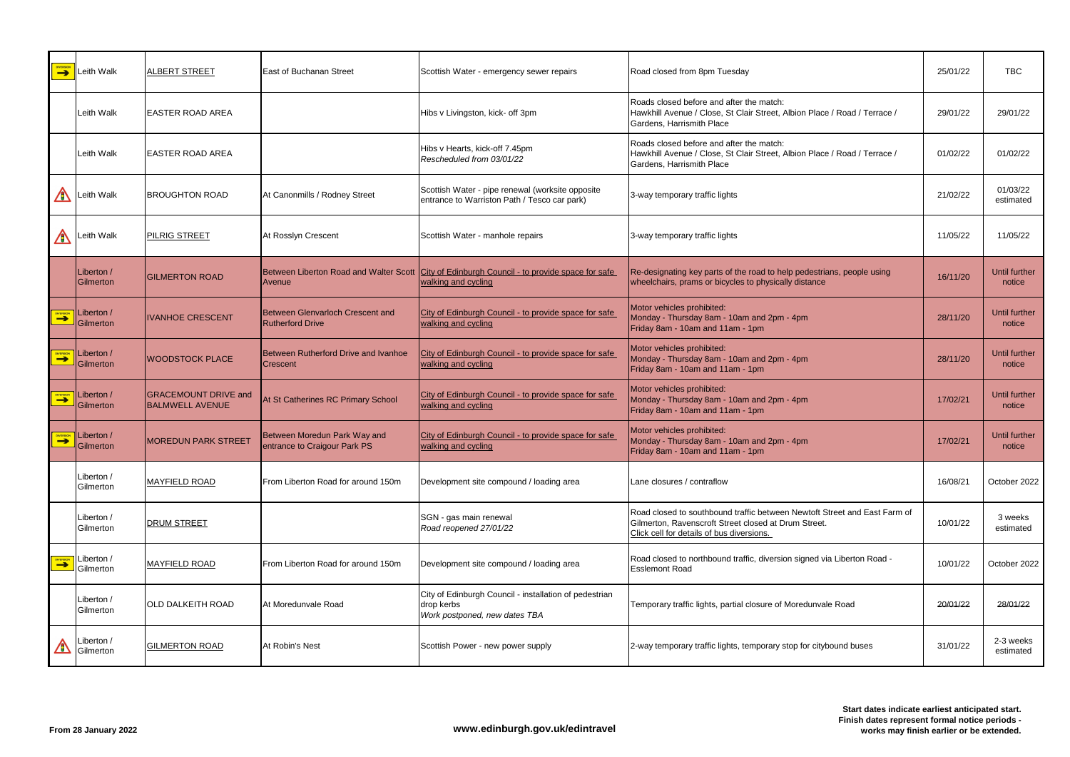| <b>DIVERSION</b> | Leith Walk                           | <b>ALBERT STREET</b>                                  | East of Buchanan Street                                      | Scottish Water - emergency sewer repairs                                                                            | Road closed from 8pm Tuesday                                                                                                                                                   | 25/01/22 | <b>TBC</b>              |
|------------------|--------------------------------------|-------------------------------------------------------|--------------------------------------------------------------|---------------------------------------------------------------------------------------------------------------------|--------------------------------------------------------------------------------------------------------------------------------------------------------------------------------|----------|-------------------------|
|                  | Leith Walk                           | <b>EASTER ROAD AREA</b>                               |                                                              | Hibs v Livingston, kick- off 3pm                                                                                    | Roads closed before and after the match:<br>Hawkhill Avenue / Close, St Clair Street, Albion Place / Road / Terrace /<br>Gardens, Harrismith Place                             | 29/01/22 | 29/01/22                |
|                  | Leith Walk                           | <b>EASTER ROAD AREA</b>                               |                                                              | Hibs v Hearts, kick-off 7.45pm<br>Rescheduled from 03/01/22                                                         | Roads closed before and after the match:<br>Hawkhill Avenue / Close, St Clair Street, Albion Place / Road / Terrace /<br>Gardens, Harrismith Place                             | 01/02/22 | 01/02/22                |
| A                | eith Walk                            | <b>BROUGHTON ROAD</b>                                 | At Canonmills / Rodney Street                                | Scottish Water - pipe renewal (worksite opposite<br>entrance to Warriston Path / Tesco car park)                    | 3-way temporary traffic lights                                                                                                                                                 | 21/02/22 | 01/03/22<br>estimated   |
| A                | Leith Walk                           | <b>PILRIG STREET</b>                                  | At Rosslyn Crescent                                          | Scottish Water - manhole repairs                                                                                    | 3-way temporary traffic lights                                                                                                                                                 | 11/05/22 | 11/05/22                |
|                  | Liberton /<br>Gilmerton              | <b>GILMERTON ROAD</b>                                 | Avenue                                                       | Between Liberton Road and Walter Scott City of Edinburgh Council - to provide space for safe<br>walking and cycling | Re-designating key parts of the road to help pedestrians, people using<br>wheelchairs, prams or bicycles to physically distance                                                | 16/11/20 | Until further<br>notice |
| <b>EXPERSION</b> | Liberton /<br>Gilmerton              | <b>IVANHOE CRESCENT</b>                               | Between Glenvarloch Crescent and<br><b>Rutherford Drive</b>  | City of Edinburgh Council - to provide space for safe<br>walking and cycling                                        | Motor vehicles prohibited:<br>Monday - Thursday 8am - 10am and 2pm - 4pm<br>Friday 8am - 10am and 11am - 1pm                                                                   | 28/11/20 | Until further<br>notice |
| <b>DIVERSION</b> | Liberton /<br>Gilmerton              | <b>WOODSTOCK PLACE</b>                                | <b>Between Rutherford Drive and Ivanhoe</b><br>Crescent      | City of Edinburgh Council - to provide space for safe<br>walking and cycling                                        | Motor vehicles prohibited:<br>Monday - Thursday 8am - 10am and 2pm - 4pm<br>Friday 8am - 10am and 11am - 1pm                                                                   | 28/11/20 | Until further<br>notice |
| DIVERSION        | Liberton /<br>Gilmerton              | <b>GRACEMOUNT DRIVE and</b><br><b>BALMWELL AVENUE</b> | At St Catherines RC Primary School                           | City of Edinburgh Council - to provide space for safe<br>walking and cycling                                        | Motor vehicles prohibited:<br>Monday - Thursday 8am - 10am and 2pm - 4pm<br>Friday 8am - 10am and 11am - 1pm                                                                   | 17/02/21 | Until further<br>notice |
| DIVERSION        | Liberton /<br><sup>J</sup> Gilmerton | <b>MOREDUN PARK STREET</b>                            | Between Moredun Park Way and<br>entrance to Craigour Park PS | City of Edinburgh Council - to provide space for safe<br>walking and cycling                                        | Motor vehicles prohibited:<br>Monday - Thursday 8am - 10am and 2pm - 4pm<br>Friday 8am - 10am and 11am - 1pm                                                                   | 17/02/21 | Until further<br>notice |
|                  | _iberton /<br>Gilmerton              | <b>MAYFIELD ROAD</b>                                  | From Liberton Road for around 150m                           | Development site compound / loading area                                                                            | Lane closures / contraflow                                                                                                                                                     | 16/08/21 | October 2022            |
|                  | Liberton /<br>Gilmerton              | <b>DRUM STREET</b>                                    |                                                              | SGN - gas main renewal<br>Road reopened 27/01/22                                                                    | Road closed to southbound traffic between Newtoft Street and East Farm of<br>Gilmerton, Ravenscroft Street closed at Drum Street.<br>Click cell for details of bus diversions. | 10/01/22 | 3 weeks<br>estimated    |
| <b>DIVERSION</b> | Liberton /<br>Gilmerton              | <b>MAYFIELD ROAD</b>                                  | From Liberton Road for around 150m                           | Development site compound / loading area                                                                            | Road closed to northbound traffic, diversion signed via Liberton Road -<br><b>Esslemont Road</b>                                                                               | 10/01/22 | October 2022            |
|                  | iberton /<br>Gilmerton               | <b>OLD DALKEITH ROAD</b>                              | At Moredunvale Road                                          | City of Edinburgh Council - installation of pedestrian<br>drop kerbs<br>Work postponed, new dates TBA               | Temporary traffic lights, partial closure of Moredunvale Road                                                                                                                  | 20/01/22 | 28/01/22                |
| ⚠                | Liberton /<br>Gilmerton              | <b>GILMERTON ROAD</b>                                 | At Robin's Nest                                              | Scottish Power - new power supply                                                                                   | 2-way temporary traffic lights, temporary stop for citybound buses                                                                                                             | 31/01/22 | 2-3 weeks<br>estimated  |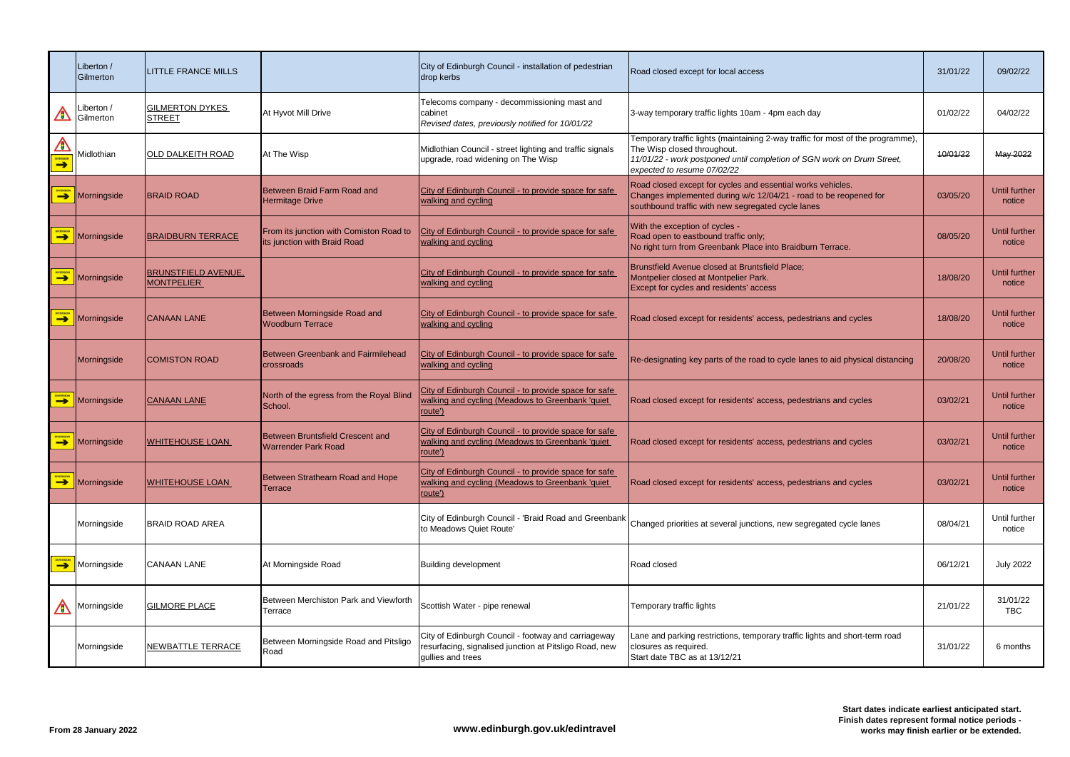|                       | Liberton /<br>Gilmerton | <b>LITTLE FRANCE MILLS</b>                      |                                                                         | City of Edinburgh Council - installation of pedestrian<br>drop kerbs                                                               | Road closed except for local access                                                                                                                                                                                     | 31/01/22 | 09/02/22                       |
|-----------------------|-------------------------|-------------------------------------------------|-------------------------------------------------------------------------|------------------------------------------------------------------------------------------------------------------------------------|-------------------------------------------------------------------------------------------------------------------------------------------------------------------------------------------------------------------------|----------|--------------------------------|
| A                     | Liberton /<br>Gilmerton | <b>GILMERTON DYKES</b><br><b>STREET</b>         | At Hyvot Mill Drive                                                     | Telecoms company - decommissioning mast and<br>cabinet<br>Revised dates, previously notified for 10/01/22                          | 3-way temporary traffic lights 10am - 4pm each day                                                                                                                                                                      | 01/02/22 | 04/02/22                       |
| A<br><b>DIVERSION</b> | Midlothian              | <b>OLD DALKEITH ROAD</b>                        | At The Wisp                                                             | Midlothian Council - street lighting and traffic signals<br>upgrade, road widening on The Wisp                                     | Temporary traffic lights (maintaining 2-way traffic for most of the programme),<br>The Wisp closed throughout.<br>11/01/22 - work postponed until completion of SGN work on Drum Street,<br>expected to resume 07/02/22 | 10/01/22 | May 2022                       |
| $\rightarrow$         | Morningside             | <b>BRAID ROAD</b>                               | Between Braid Farm Road and<br><b>Hermitage Drive</b>                   | City of Edinburgh Council - to provide space for safe<br>walking and cycling                                                       | Road closed except for cycles and essential works vehicles.<br>Changes implemented during w/c 12/04/21 - road to be reopened for<br>southbound traffic with new segregated cycle lanes                                  | 03/05/20 | <b>Until further</b><br>notice |
| DIVERSION             | Morningside             | <b>BRAIDBURN TERRACE</b>                        | From its junction with Comiston Road to<br>its junction with Braid Road | City of Edinburgh Council - to provide space for safe<br>walking and cycling                                                       | With the exception of cycles -<br>Road open to eastbound traffic only;<br>No right turn from Greenbank Place into Braidburn Terrace.                                                                                    | 08/05/20 | Until further<br>notice        |
| $\rightarrow$         | Morningside             | <b>BRUNSTFIELD AVENUE,</b><br><b>MONTPELIER</b> |                                                                         | City of Edinburgh Council - to provide space for safe<br>walking and cycling                                                       | Brunstfield Avenue closed at Bruntsfield Place;<br>Montpelier closed at Montpelier Park.<br>Except for cycles and residents' access                                                                                     | 18/08/20 | Until further<br>notice        |
| <b>DIVERSION</b>      | Morningside             | <b>CANAAN LANE</b>                              | Between Morningside Road and<br><b>Woodburn Terrace</b>                 | City of Edinburgh Council - to provide space for safe<br>walking and cycling                                                       | Road closed except for residents' access, pedestrians and cycles                                                                                                                                                        | 18/08/20 | Until further<br>notice        |
|                       | Morningside             | <b>COMISTON ROAD</b>                            | Between Greenbank and Fairmilehead<br>crossroads                        | City of Edinburgh Council - to provide space for safe<br>walking and cycling                                                       | Re-designating key parts of the road to cycle lanes to aid physical distancing                                                                                                                                          | 20/08/20 | Until further<br>notice        |
| <b>DIVERSION</b>      | Morningside             | <b>CANAAN LANE</b>                              | North of the egress from the Royal Blind<br>School.                     | City of Edinburgh Council - to provide space for safe<br>walking and cycling (Meadows to Greenbank 'quiet<br>route')               | Road closed except for residents' access, pedestrians and cycles                                                                                                                                                        | 03/02/21 | Until further<br>notice        |
| DIVERSION             | Morningside             | <b>WHITEHOUSE LOAN</b>                          | Between Bruntsfield Crescent and<br><b>Warrender Park Road</b>          | City of Edinburgh Council - to provide space for safe<br>walking and cycling (Meadows to Greenbank 'quiet<br>route')               | Road closed except for residents' access, pedestrians and cycles                                                                                                                                                        | 03/02/21 | Until further<br>notice        |
| $\rightarrow$         | Morningside             | <u>WHITEHOUSE LOAN</u>                          | Between Strathearn Road and Hope<br>Terrace                             | City of Edinburgh Council - to provide space for safe<br>walking and cycling (Meadows to Greenbank 'quiet<br>route')               | Road closed except for residents' access, pedestrians and cycles                                                                                                                                                        | 03/02/21 | Until further<br>notice        |
|                       | Morningside             | <b>BRAID ROAD AREA</b>                          |                                                                         | City of Edinburgh Council - 'Braid Road and Greenbank<br>to Meadows Quiet Route'                                                   | Changed priorities at several junctions, new segregated cycle lanes                                                                                                                                                     | 08/04/21 | Until further<br>notice        |
| <b>DIVERSION</b>      | Morningside             | <b>CANAAN LANE</b>                              | At Morningside Road                                                     | <b>Building development</b>                                                                                                        | Road closed                                                                                                                                                                                                             | 06/12/21 | <b>July 2022</b>               |
| A                     | Morningside             | <b>GILMORE PLACE</b>                            | Between Merchiston Park and Viewforth<br>Terrace                        | Scottish Water - pipe renewal                                                                                                      | Temporary traffic lights                                                                                                                                                                                                | 21/01/22 | 31/01/22<br><b>TBC</b>         |
|                       | Morningside             | <b>NEWBATTLE TERRACE</b>                        | Between Morningside Road and Pitsligo<br>Road                           | City of Edinburgh Council - footway and carriageway<br>resurfacing, signalised junction at Pitsligo Road, new<br>gullies and trees | Lane and parking restrictions, temporary traffic lights and short-term road<br>closures as required.<br>Start date TBC as at 13/12/21                                                                                   | 31/01/22 | 6 months                       |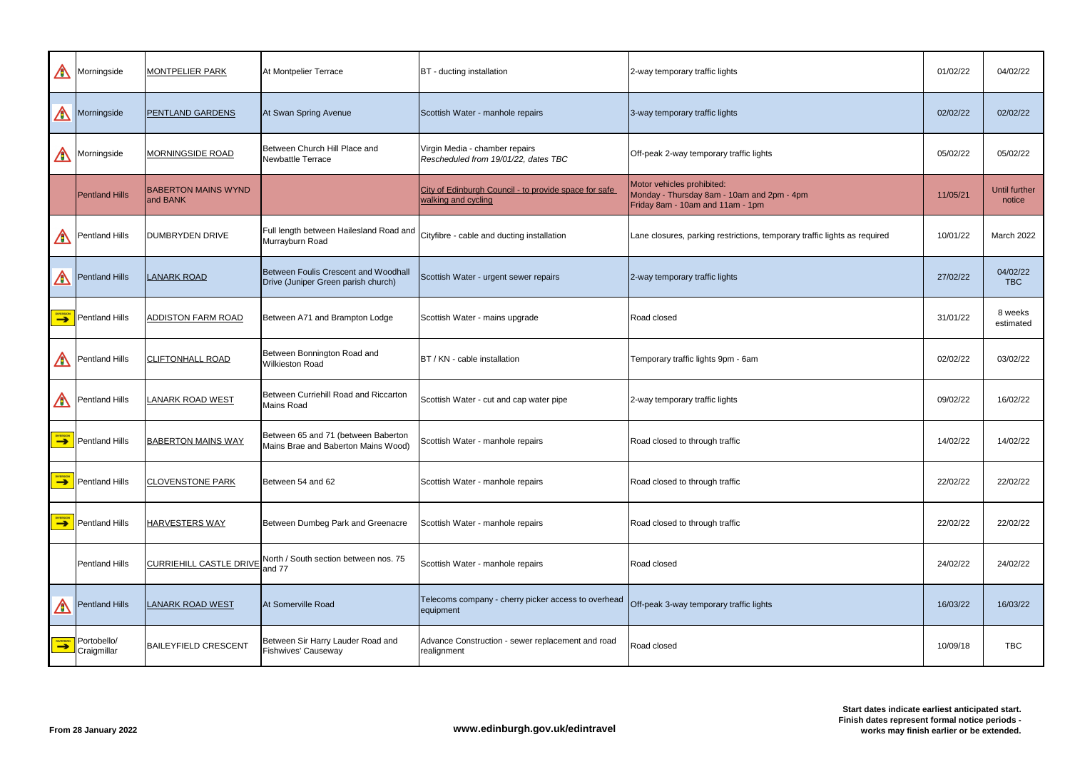| A                | Morningside                      | <b>MONTPELIER PARK</b>                 | At Montpelier Terrace                                                       | BT - ducting installation                                                    | 2-way temporary traffic lights                                                                               | 01/02/22 | 04/02/22                |
|------------------|----------------------------------|----------------------------------------|-----------------------------------------------------------------------------|------------------------------------------------------------------------------|--------------------------------------------------------------------------------------------------------------|----------|-------------------------|
| ⚠                | Morningside                      | <b>PENTLAND GARDENS</b>                | At Swan Spring Avenue                                                       | Scottish Water - manhole repairs                                             | 3-way temporary traffic lights                                                                               | 02/02/22 | 02/02/22                |
| A                | Morningside                      | <b>MORNINGSIDE ROAD</b>                | Between Church Hill Place and<br>Newbattle Terrace                          | Virgin Media - chamber repairs<br>Rescheduled from 19/01/22, dates TBC       | Off-peak 2-way temporary traffic lights                                                                      | 05/02/22 | 05/02/22                |
|                  | <b>Pentland Hills</b>            | <b>BABERTON MAINS WYND</b><br>and BANK |                                                                             | City of Edinburgh Council - to provide space for safe<br>walking and cycling | Motor vehicles prohibited:<br>Monday - Thursday 8am - 10am and 2pm - 4pm<br>Friday 8am - 10am and 11am - 1pm | 11/05/21 | Until further<br>notice |
| A                | <b>Pentland Hills</b>            | <b>DUMBRYDEN DRIVE</b>                 | Full length between Hailesland Road and<br>Murrayburn Road                  | Cityfibre - cable and ducting installation                                   | Lane closures, parking restrictions, temporary traffic lights as required                                    | 10/01/22 | <b>March 2022</b>       |
| A                | <b>Pentland Hills</b>            | <b>LANARK ROAD</b>                     | Between Foulis Crescent and Woodhall<br>Drive (Juniper Green parish church) | Scottish Water - urgent sewer repairs                                        | 2-way temporary traffic lights                                                                               | 27/02/22 | 04/02/22<br><b>TBC</b>  |
| <b>DIVERSION</b> | <b>Pentland Hills</b>            | <b>ADDISTON FARM ROAD</b>              | Between A71 and Brampton Lodge                                              | Scottish Water - mains upgrade                                               | Road closed                                                                                                  | 31/01/22 | 8 weeks<br>estimated    |
| A                | <b>Pentland Hills</b>            | <b>CLIFTONHALL ROAD</b>                | Between Bonnington Road and<br><b>Wilkieston Road</b>                       | BT / KN - cable installation                                                 | Temporary traffic lights 9pm - 6am                                                                           | 02/02/22 | 03/02/22                |
| A                | <b>Pentland Hills</b>            | LANARK ROAD WEST                       | Between Curriehill Road and Riccarton<br><b>Mains Road</b>                  | Scottish Water - cut and cap water pipe                                      | 2-way temporary traffic lights                                                                               | 09/02/22 | 16/02/22                |
|                  | $\rightarrow$ Pentland Hills     | <b>BABERTON MAINS WAY</b>              | Between 65 and 71 (between Baberton<br>Mains Brae and Baberton Mains Wood)  | Scottish Water - manhole repairs                                             | Road closed to through traffic                                                                               | 14/02/22 | 14/02/22                |
|                  | $\rightarrow$ Pentland Hills     | <b>CLOVENSTONE PARK</b>                | Between 54 and 62                                                           | Scottish Water - manhole repairs                                             | Road closed to through traffic                                                                               | 22/02/22 | 22/02/22                |
|                  | <b>PERSICK</b><br>Pentland Hills | <b>HARVESTERS WAY</b>                  | Between Dumbeg Park and Greenacre                                           | Scottish Water - manhole repairs                                             | Road closed to through traffic                                                                               | 22/02/22 | 22/02/22                |
|                  | <b>Pentland Hills</b>            | <b>CURRIEHILL CASTLE DRIVE</b>         | North / South section between nos. 75<br>and 77                             | Scottish Water - manhole repairs                                             | Road closed                                                                                                  | 24/02/22 | 24/02/22                |
| A                | <b>Pentland Hills</b>            | <b>LANARK ROAD WEST</b>                | At Somerville Road                                                          | Telecoms company - cherry picker access to overhead<br>equipment             | Off-peak 3-way temporary traffic lights                                                                      | 16/03/22 | 16/03/22                |
| <b>DIVERSION</b> | Portobello/<br>Craigmillar       | <b>BAILEYFIELD CRESCENT</b>            | Between Sir Harry Lauder Road and<br><b>Fishwives' Causeway</b>             | Advance Construction - sewer replacement and road<br>realignment             | Road closed                                                                                                  | 10/09/18 | <b>TBC</b>              |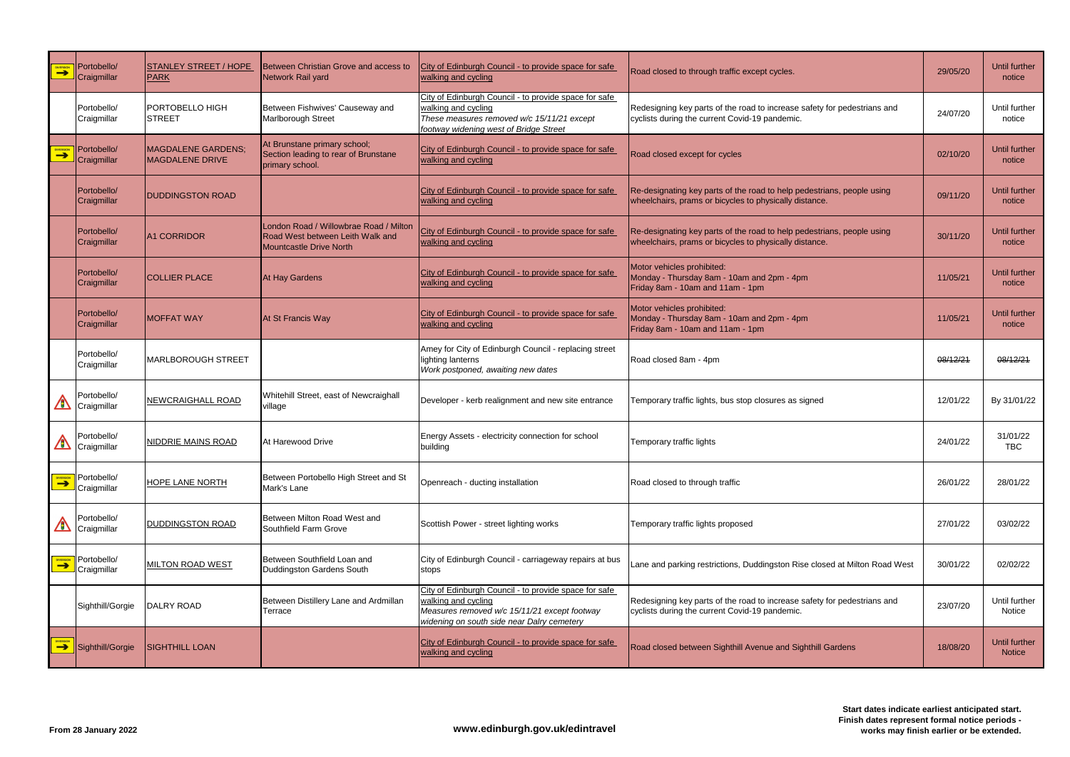| <b>NVERSION</b><br>$\rightarrow$ | Portobello/<br>Craigmillar | <b>STANLEY STREET / HOPE</b><br>PARK         | Between Christian Grove and access to<br>Network Rail yard                                            | City of Edinburgh Council - to provide space for safe<br>walking and cycling                                                                                               | Road closed to through traffic except cycles.                                                                                    | 29/05/20 | Until further<br>notice        |
|----------------------------------|----------------------------|----------------------------------------------|-------------------------------------------------------------------------------------------------------|----------------------------------------------------------------------------------------------------------------------------------------------------------------------------|----------------------------------------------------------------------------------------------------------------------------------|----------|--------------------------------|
|                                  | Portobello/<br>Craigmillar | PORTOBELLO HIGH<br><b>STREET</b>             | Between Fishwives' Causeway and<br>Marlborough Street                                                 | City of Edinburgh Council - to provide space for safe<br>walking and cycling<br>These measures removed w/c 15/11/21 except<br>footway widening west of Bridge Street       | Redesigning key parts of the road to increase safety for pedestrians and<br>cyclists during the current Covid-19 pandemic.       | 24/07/20 | Until further<br>notice        |
| $\rightarrow$                    | Portobello/<br>Craigmillar | <b>MAGDALENE GARDENS:</b><br>MAGDALENE DRIVE | At Brunstane primary school;<br>Section leading to rear of Brunstane<br>primary school.               | City of Edinburgh Council - to provide space for safe<br>walking and cycling                                                                                               | Road closed except for cycles                                                                                                    | 02/10/20 | Until further<br>notice        |
|                                  | Portobello/<br>Craigmillar | <b>DUDDINGSTON ROAD</b>                      |                                                                                                       | City of Edinburgh Council - to provide space for safe<br>walking and cycling                                                                                               | Re-designating key parts of the road to help pedestrians, people using<br>wheelchairs, prams or bicycles to physically distance. | 09/11/20 | <b>Until further</b><br>notice |
|                                  | Portobello/<br>Craigmillar | <b>A1 CORRIDOR</b>                           | London Road / Willowbrae Road / Milton<br>Road West between Leith Walk and<br>Mountcastle Drive North | City of Edinburgh Council - to provide space for safe<br>walking and cycling                                                                                               | Re-designating key parts of the road to help pedestrians, people using<br>wheelchairs, prams or bicycles to physically distance. | 30/11/20 | Until further<br>notice        |
|                                  | Portobello/<br>Craigmillar | <b>COLLIER PLACE</b>                         | At Hay Gardens                                                                                        | City of Edinburgh Council - to provide space for safe<br>walking and cycling                                                                                               | Motor vehicles prohibited:<br>Monday - Thursday 8am - 10am and 2pm - 4pm<br>Friday 8am - 10am and 11am - 1pm                     | 11/05/21 | Until further<br>notice        |
|                                  | Portobello/<br>Craigmillar | <b>MOFFAT WAY</b>                            | At St Francis Way                                                                                     | City of Edinburgh Council - to provide space for safe<br>walking and cycling                                                                                               | Motor vehicles prohibited:<br>Monday - Thursday 8am - 10am and 2pm - 4pm<br>Friday 8am - 10am and 11am - 1pm                     | 11/05/21 | Until further<br>notice        |
|                                  | Portobello/<br>Craigmillar | MARLBOROUGH STREET                           |                                                                                                       | Amey for City of Edinburgh Council - replacing street<br>lighting lanterns<br>Work postponed, awaiting new dates                                                           | Road closed 8am - 4pm                                                                                                            | 08/12/21 | 08/12/21                       |
| A                                | Portobello/<br>Craigmillar | <b>NEWCRAIGHALL ROAD</b>                     | Whitehill Street, east of Newcraighall<br>village                                                     | Developer - kerb realignment and new site entrance                                                                                                                         | Temporary traffic lights, bus stop closures as signed                                                                            | 12/01/22 | By 31/01/22                    |
| $\triangle$                      | Portobello/<br>Craigmillar | NIDDRIE MAINS ROAD                           | At Harewood Drive                                                                                     | Energy Assets - electricity connection for school<br>building                                                                                                              | Temporary traffic lights                                                                                                         | 24/01/22 | 31/01/22<br><b>TBC</b>         |
|                                  | Portobello/<br>Craigmillar | <b>HOPE LANE NORTH</b>                       | Between Portobello High Street and St<br>Mark's Lane                                                  | Openreach - ducting installation                                                                                                                                           | Road closed to through traffic                                                                                                   | 26/01/22 | 28/01/22                       |
| A                                | Portobello/<br>Craigmillar | <b>DUDDINGSTON ROAD</b>                      | Between Milton Road West and<br>Southfield Farm Grove                                                 | Scottish Power - street lighting works                                                                                                                                     | Temporary traffic lights proposed                                                                                                | 27/01/22 | 03/02/22                       |
| <b>DIVERSION</b>                 | Portobello/<br>Craigmillar | <b>MILTON ROAD WEST</b>                      | Between Southfield Loan and<br>Duddingston Gardens South                                              | City of Edinburgh Council - carriageway repairs at bus<br>stops                                                                                                            | Lane and parking restrictions, Duddingston Rise closed at Milton Road West                                                       | 30/01/22 | 02/02/22                       |
|                                  | Sighthill/Gorgie           | <b>DALRY ROAD</b>                            | Between Distillery Lane and Ardmillan<br>Terrace                                                      | City of Edinburgh Council - to provide space for safe<br>walking and cycling<br>Measures removed w/c 15/11/21 except footway<br>widening on south side near Dalry cemetery | Redesigning key parts of the road to increase safety for pedestrians and<br>cyclists during the current Covid-19 pandemic.       | 23/07/20 | Until further<br>Notice        |
| DIVERSION                        | Sighthill/Gorgie           | <b>SIGHTHILL LOAN</b>                        |                                                                                                       | City of Edinburgh Council - to provide space for safe<br>walking and cycling                                                                                               | Road closed between Sighthill Avenue and Sighthill Gardens                                                                       | 18/08/20 | Until further<br><b>Notice</b> |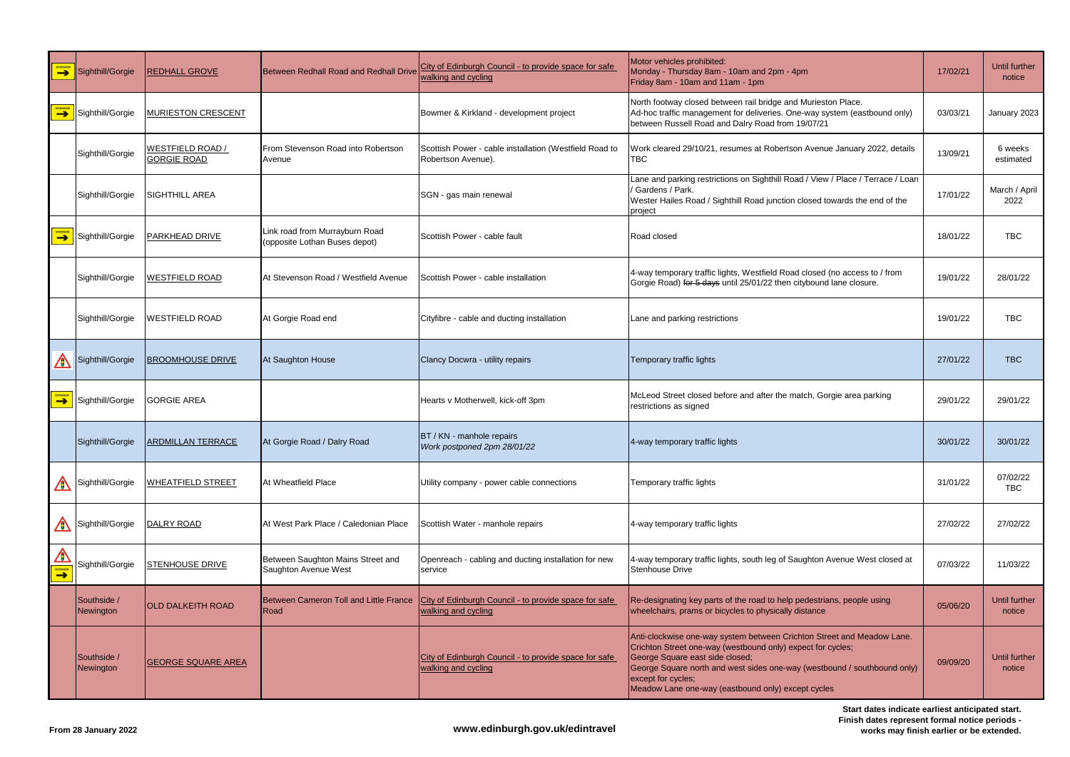| DIVERSION                       | Sighthill/Gorgie         | REDHALL GROVE                          | Between Redhall Road and Redhall Drive                          | City of Edinburgh Council - to provide space for safe<br>walking and cycling                                        | Motor vehicles prohibited:<br>Monday - Thursday 8am - 10am and 2pm - 4pm<br>Friday 8am - 10am and 11am - 1pm                                                                                                                                                                                                                     | 17/02/21 | <b>Until further</b><br>notice |
|---------------------------------|--------------------------|----------------------------------------|-----------------------------------------------------------------|---------------------------------------------------------------------------------------------------------------------|----------------------------------------------------------------------------------------------------------------------------------------------------------------------------------------------------------------------------------------------------------------------------------------------------------------------------------|----------|--------------------------------|
| $\rightarrow$                   | Sighthill/Gorgie         | <b>MURIESTON CRESCENT</b>              |                                                                 | Bowmer & Kirkland - development project                                                                             | North footway closed between rail bridge and Murieston Place.<br>Ad-hoc traffic management for deliveries. One-way system (eastbound only)<br>between Russell Road and Dalry Road from 19/07/21                                                                                                                                  | 03/03/21 | January 2023                   |
|                                 | Sighthill/Gorgie         | WESTFIELD ROAD /<br><b>GORGIE ROAD</b> | From Stevenson Road into Robertson<br>Avenue                    | Scottish Power - cable installation (Westfield Road to<br>Robertson Avenue).                                        | Work cleared 29/10/21, resumes at Robertson Avenue January 2022, details<br><b>TBC</b>                                                                                                                                                                                                                                           | 13/09/21 | 6 weeks<br>estimated           |
|                                 | Sighthill/Gorgie         | SIGHTHILL AREA                         |                                                                 | SGN - gas main renewal                                                                                              | Lane and parking restrictions on Sighthill Road / View / Place / Terrace / Loan<br>Gardens / Park.<br>Wester Hailes Road / Sighthill Road junction closed towards the end of the<br>project                                                                                                                                      | 17/01/22 | March / April<br>2022          |
|                                 | <b>Sighthill/Gorgie</b>  | PARKHEAD DRIVE                         | Link road from Murrayburn Road<br>(opposite Lothan Buses depot) | Scottish Power - cable fault                                                                                        | <b>Road closed</b>                                                                                                                                                                                                                                                                                                               | 18/01/22 | <b>TBC</b>                     |
|                                 | Sighthill/Gorgie         | <u>NESTFIELD ROAD</u>                  | At Stevenson Road / Westfield Avenue                            | Scottish Power - cable installation                                                                                 | 4-way temporary traffic lights, Westfield Road closed (no access to / from<br>Gorgie Road) for 5 days until 25/01/22 then citybound lane closure.                                                                                                                                                                                | 19/01/22 | 28/01/22                       |
|                                 | Sighthill/Gorgie         | WESTFIELD ROAD                         | At Gorgie Road end                                              | Cityfibre - cable and ducting installation                                                                          | Lane and parking restrictions                                                                                                                                                                                                                                                                                                    | 19/01/22 | <b>TBC</b>                     |
| A                               | Sighthill/Gorgie         | <b>BROOMHOUSE DRIVE</b>                | At Saughton House                                               | Clancy Docwra - utility repairs                                                                                     | Temporary traffic lights                                                                                                                                                                                                                                                                                                         | 27/01/22 | <b>TBC</b>                     |
|                                 | Sighthill/Gorgie         | <b>GORGIE AREA</b>                     |                                                                 | Hearts v Motherwell, kick-off 3pm                                                                                   | McLeod Street closed before and after the match, Gorgie area parking<br>restrictions as signed                                                                                                                                                                                                                                   | 29/01/22 | 29/01/22                       |
|                                 | Sighthill/Gorgie         | <b>ARDMILLAN TERRACE</b>               | At Gorgie Road / Dalry Road                                     | BT / KN - manhole repairs<br>Work postponed 2pm 28/01/22                                                            | 4-way temporary traffic lights                                                                                                                                                                                                                                                                                                   | 30/01/22 | 30/01/22                       |
| A                               | Sighthill/Gorgie         | <b>WHEATFIELD STREET</b>               | At Wheatfield Place                                             | Utility company - power cable connections                                                                           | Temporary traffic lights                                                                                                                                                                                                                                                                                                         | 31/01/22 | 07/02/22<br><b>TBC</b>         |
| A                               | Sighthill/Gorgie         | DALRY ROAD                             | At West Park Place / Caledonian Place                           | Scottish Water - manhole repairs                                                                                    | 4-way temporary traffic lights                                                                                                                                                                                                                                                                                                   | 27/02/22 | 27/02/22                       |
| $\triangle$<br><b>EXPERSION</b> | Sighthill/Gorgie         | <b>STENHOUSE DRIVE</b>                 | Between Saughton Mains Street and<br>Saughton Avenue West       | Openreach - cabling and ducting installation for new<br>service                                                     | 4-way temporary traffic lights, south leg of Saughton Avenue West closed at<br><b>Stenhouse Drive</b>                                                                                                                                                                                                                            | 07/03/22 | 11/03/22                       |
|                                 | Southside /<br>Newington | <b>OLD DALKEITH ROAD</b>               | Road                                                            | Between Cameron Toll and Little France City of Edinburgh Council - to provide space for safe<br>walking and cycling | Re-designating key parts of the road to help pedestrians, people using<br>wheelchairs, prams or bicycles to physically distance                                                                                                                                                                                                  | 05/06/20 | Until further<br>notice        |
|                                 | Southside /<br>Newington | <b>GEORGE SQUARE AREA</b>              |                                                                 | City of Edinburgh Council - to provide space for safe<br>walking and cycling                                        | Anti-clockwise one-way system between Crichton Street and Meadow Lane.<br>Crichton Street one-way (westbound only) expect for cycles;<br>George Square east side closed;<br>George Square north and west sides one-way (westbound / southbound only)<br>except for cycles;<br>Meadow Lane one-way (eastbound only) except cycles | 09/09/20 | Until further<br>notice        |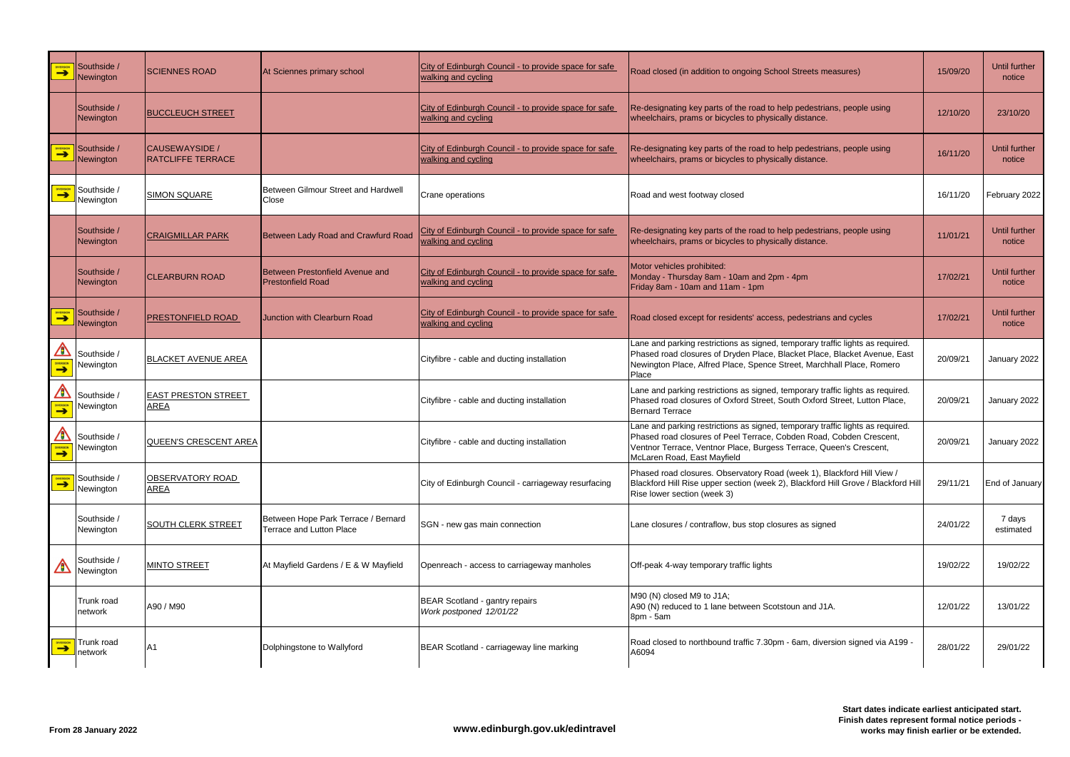| DIVERSION                            | Southside /<br>Newington           | <b>SCIENNES ROAD</b>                       | At Sciennes primary school                                      | City of Edinburgh Council - to provide space for safe<br>walking and cycling | Road closed (in addition to ongoing School Streets measures)                                                                                                                                                                                               | 15/09/20 | Until further<br>notice |
|--------------------------------------|------------------------------------|--------------------------------------------|-----------------------------------------------------------------|------------------------------------------------------------------------------|------------------------------------------------------------------------------------------------------------------------------------------------------------------------------------------------------------------------------------------------------------|----------|-------------------------|
|                                      | Southside /<br>Newington           | <b>BUCCLEUCH STREET</b>                    |                                                                 | City of Edinburgh Council - to provide space for safe<br>walking and cycling | Re-designating key parts of the road to help pedestrians, people using<br>wheelchairs, prams or bicycles to physically distance.                                                                                                                           | 12/10/20 | 23/10/20                |
| <b>DIVERSION</b>                     | Southside /<br>Newington           | CAUSEWAYSIDE /<br><b>RATCLIFFE TERRACE</b> |                                                                 | City of Edinburgh Council - to provide space for safe<br>walking and cycling | Re-designating key parts of the road to help pedestrians, people using<br>wheelchairs, prams or bicycles to physically distance.                                                                                                                           | 16/11/20 | Until further<br>notice |
| <b>DIVERSION</b>                     | Southside /<br>Newington           | <b>SIMON SQUARE</b>                        | Between Gilmour Street and Hardwell<br>Close                    | Crane operations                                                             | Road and west footway closed                                                                                                                                                                                                                               | 16/11/20 | February 2022           |
|                                      | Southside /<br>Newington           | <b>CRAIGMILLAR PARK</b>                    | Between Lady Road and Crawfurd Road                             | City of Edinburgh Council - to provide space for safe<br>walking and cycling | Re-designating key parts of the road to help pedestrians, people using<br>wheelchairs, prams or bicycles to physically distance.                                                                                                                           | 11/01/21 | Until further<br>notice |
|                                      | Southside /<br>Newington           | <b>CLEARBURN ROAD</b>                      | Between Prestonfield Avenue and<br><b>Prestonfield Road</b>     | City of Edinburgh Council - to provide space for safe<br>walking and cycling | Motor vehicles prohibited:<br>Monday - Thursday 8am - 10am and 2pm - 4pm<br>Friday 8am - 10am and 11am - 1pm                                                                                                                                               | 17/02/21 | Until further<br>notice |
| DIVERSION                            | Southside /<br>Newington           | <b>PRESTONFIELD ROAD</b>                   | <b>Junction with Clearburn Road</b>                             | City of Edinburgh Council - to provide space for safe<br>walking and cycling | Road closed except for residents' access, pedestrians and cycles                                                                                                                                                                                           | 17/02/21 | Until further<br>notice |
| A<br><b>DIVERSION</b>                | Southside /<br>Newington           | <b>BLACKET AVENUE AREA</b>                 |                                                                 | Cityfibre - cable and ducting installation                                   | Lane and parking restrictions as signed, temporary traffic lights as required.<br>Phased road closures of Dryden Place, Blacket Place, Blacket Avenue, East<br>Newington Place, Alfred Place, Spence Street, Marchhall Place, Romero<br>Place              | 20/09/21 | January 2022            |
| $\bigtriangleup$<br><b>DIVERSION</b> | Southside /<br>Newington           | <b>EAST PRESTON STREET</b><br>AREA         |                                                                 | Cityfibre - cable and ducting installation                                   | Lane and parking restrictions as signed, temporary traffic lights as required.<br>Phased road closures of Oxford Street, South Oxford Street, Lutton Place,<br><b>Bernard Terrace</b>                                                                      | 20/09/21 | January 2022            |
| ⚠                                    | Southside /<br>DIVERSION Newington | QUEEN'S CRESCENT AREA                      |                                                                 | Cityfibre - cable and ducting installation                                   | Lane and parking restrictions as signed, temporary traffic lights as required.<br>Phased road closures of Peel Terrace, Cobden Road, Cobden Crescent,<br>Ventnor Terrace, Ventnor Place, Burgess Terrace, Queen's Crescent,<br>McLaren Road, East Mayfield | 20/09/21 | January 2022            |
| <b>DIVERSION</b>                     | Southside /<br>Newington           | <b>OBSERVATORY ROAD</b><br><b>AREA</b>     |                                                                 | City of Edinburgh Council - carriageway resurfacing                          | Phased road closures. Observatory Road (week 1), Blackford Hill View /<br>Blackford Hill Rise upper section (week 2), Blackford Hill Grove / Blackford Hill<br>Rise lower section (week 3)                                                                 | 29/11/21 | End of January          |
|                                      | Southside /<br>Newington           | <b>SOUTH CLERK STREET</b>                  | Between Hope Park Terrace / Bernard<br>Terrace and Lutton Place | SGN - new gas main connection                                                | Lane closures / contraflow, bus stop closures as signed                                                                                                                                                                                                    | 24/01/22 | 7 days<br>estimated     |
| A                                    | Southside /<br>Newington           | <b>MINTO STREET</b>                        | At Mayfield Gardens / E & W Mayfield                            | Openreach - access to carriageway manholes                                   | Off-peak 4-way temporary traffic lights                                                                                                                                                                                                                    | 19/02/22 | 19/02/22                |
|                                      | Trunk road<br>network              | A90 / M90                                  |                                                                 | BEAR Scotland - gantry repairs<br>Work postponed 12/01/22                    | M90 (N) closed M9 to J1A;<br>A90 (N) reduced to 1 lane between Scotstoun and J1A.<br>8pm - 5am                                                                                                                                                             | 12/01/22 | 13/01/22                |
| $\rightarrow$                        | Trunk road<br>network              | A1                                         | Dolphingstone to Wallyford                                      | BEAR Scotland - carriageway line marking                                     | Road closed to northbound traffic 7.30pm - 6am, diversion signed via A199 -<br>A6094                                                                                                                                                                       | 28/01/22 | 29/01/22                |